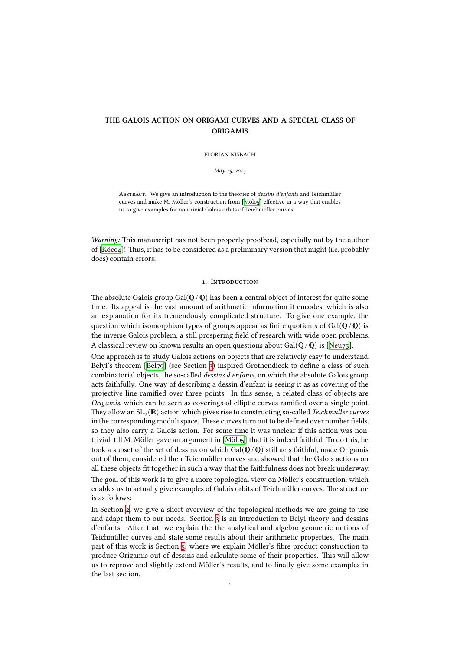# **THE GALOIS ACTION ON ORIGAMI CURVES AND A SPECIAL CLASS OF ORIGAMIS**

FLORIAN NISBACH

*May 15, 2014* 

ABSTRACT. We give an introduction to the theories of *dessins d'enfants* and Teichmüller curves and make M. Möller's construction from [Mölo5] effective in a way that enables us to give examples for nontrivial Galois orbits of Teichmüller curves.

*Warning:* This manuscript has not been properl[y proo](#page-37-0)fread, especially not by the author of  $[K\ddot{o}co4]$ ! Thus, it has to be considered as a preliminary version that might (i.e. probably does) contain errors.

### 1. INTRODUCTION

The absolute Galois group Gal( $\overline{\mathbb{Q}}$  /  $\mathbb{Q}$ ) has been a central object of interest for quite some time. Its appeal is the vast amount of arithmetic information it encodes, which is also an explanation for its tremendously complicated structure. To give one example, the question which isomorphism types of groups appear as finite quotients of Gal( $\overline{Q}/Q$ ) is the inverse Galois problem, a still prospering field of research with wide open problems. A classical review on known results an open questions about Gal( $\overline{Q}/Q$ ) is [Neu75].

One approach is to study Galois actions on objects that are relatively easy to understand. Belyi's theorem [Bel79] (see Section 3) inspired Grothendieck to define a class of such combinatorial objects, the so-called *dessins d'enfants*, on which the absolute Galois group acts faithfully. One way of describing a dessin d'enfant is seeing it as as co[vering](#page-37-1) of the projective line ramified over three points. In this sense, a related class of objects are *Origamis*, which [can be](#page-36-0) seen as cove[rin](#page-4-0)gs of elliptic curves ramified over a single point. They allow an  $\mathrm{SL}_2(\mathbb{R})$  action which gives rise to constructing so-called *Teichmüller curves* in the corresponding moduli space. These curves turn out to be defined over number fields, so they also carry a Galois action. For some time it was unclear if this action was nontrivial, till M. Möller gave an argument in  $[M\ddot{o}l\dot{o}l]$  that it is indeed faithful. To do this, he took a subset of the set of dessins on which Gal( $\overline{O}/O$ ) still acts faithful, made Origamis out of them, considered their Teichmüller curves and showed that the Galois actions on all these objects fit together in such a way that the faithfulness does not break underway.

The goal of this work is to give a more top[ologica](#page-37-0)l view on Möller's construction, which enables us to actually give examples of Galois orbits of Teichmüller curves. The structure is as follows:

In Section 2, we give a short overview of the topological methods we are going to use and adapt them to our needs. Section 3 is an introduction to Belyi theory and dessins d'enfants. After that, we explain the the analytical and algebro-geometric notions of Teichmüller curves and state some results about their arithmetic properties. The main part of thi[s w](#page-1-0)ork is Section 5, where we explain Möller's fibre product construction to produce Origamis out of dessins and c[alc](#page-4-0)ulate some of their properties. This will allow us to reprove and slightly extend Möller's results, and to finally give some examples in the last section.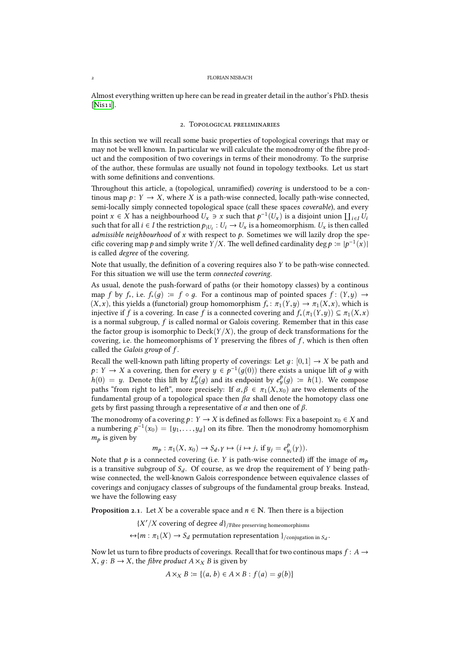Almost everything written up here can be read in greater detail in the author's PhD. thesis  $[Nis11]$ .

### 2. TOPOLOGICAL PRELIMINARIES

<span id="page-1-0"></span>I[n this](#page-37-2) section we will recall some basic properties of topological coverings that may or may not be well known. In particular we will calculate the monodromy of the fibre product and the composition of two coverings in terms of their monodromy. To the surprise of the author, these formulas are usually not found in topology textbooks. Let us start with some definitions and conventions.

Throughout this article, a (topological, unramified) *covering* is understood to be a continous map  $p: Y \to X$ , where *X* is a path-wise connected, locally path-wise connected, semi-locally simply connected topological space (call these spaces *coverable*), and every point *x* ∈ *X* has a neighbourhood  $U_x$  ∋ *x* such that  $p^{-1}(U_x)$  is a disjoint union  $\prod_{i \in I} U_i$ such that for all  $i \in I$  the restriction  $p_{|U_i}: U_i \to U_x$  is a homeomorphism.  $U_x$  is then called *admissible neighbourhood* of *x* with respect to *p*. Sometimes we will lazily drop the specific covering map  $p$  and simply write  $Y/X$ . The well defined cardinality  $\deg p \coloneqq |p^{-1}(x)|$ is called *degree* of the covering.

Note that usually, the definition of a covering requires also *Y* to be path-wise connected. For this situation we will use the term *connected covering*.

As usual, denote the push-forward of paths (or their homotopy classes) by a continous map *f* by  $f_*$ , i.e.  $f_*(q) := f \circ q$ . For a continous map of pointed spaces  $f : (Y, y) \to$  $(X, x)$ , this yields a (functorial) group homomorphism  $f_* : \pi_1(Y, y) \to \pi_1(X, x)$ , which is injective if *f* is a covering. In case *f* is a connected covering and  $f_*(\pi_1(Y,y)) \subseteq \pi_1(X,x)$ is a normal subgroup, *f* is called normal or Galois covering. Remember that in this case the factor group is isomorphic to  $\text{Deck}(Y/X)$ , the group of deck transformations for the covering, i.e. the homeomorphisms of  $Y$  preserving the fibres of  $f$ , which is then often called the *Galois group* of *f* .

Recall the well-known path lifting property of coverings: Let  $g: [0,1] \rightarrow X$  be path and  $p: Y \to X$  a covering, then for every  $y \in p^{-1}(g(0))$  there exists a unique lift of *g* with  $h(0) = y$ . Denote this lift by  $L_y^p(g)$  and its endpoint by  $e_y^p(g) = h(1)$ . We compose paths "from right to left", more precisely: If  $\alpha, \beta \in \pi_1(X, x_0)$  are two elements of the fundamental group of a topological space then  $\beta \alpha$  shall denote the homotopy class one gets by first passing through a representative of *α* and then one of *β*.

The monodromy of a covering  $p: Y \to X$  is defined as follows: Fix a basepoint  $x_0 \in X$  and a numbering  $p^{-1}(x_0) = \{y_1, \ldots, y_d\}$  on its fibre. Then the monodromy homomorphism *m<sup>p</sup>* is given by

$$
m_p: \pi_1(X, x_0) \to S_d, \gamma \mapsto (i \mapsto j, \text{ if } y_j = e_{y_i}^p(\gamma)).
$$

Note that *p* is a connected covering (i.e. *Y* is path-wise connected) iff the image of  $m_p$ is a transitive subgroup of  $S_d$ . Of course, as we drop the requirement of *Y* being pathwise connected, the well-known Galois correspondence between equivalence classes of coverings and conjugacy classes of subgroups of the fundamental group breaks. Instead, we have the following easy

**Proposition 2.1.** Let *X* be a coverable space and  $n \in \mathbb{N}$ . Then there is a bijection

{*X* ′ /*X* covering of degree *d*}/Fibre preserving homeomorphisms

 $\leftrightarrow$ {*m* :  $\pi_1(X) \rightarrow S_d$  permutation representation }<sub>/conjugation</sub> in  $S_d$ .

<span id="page-1-1"></span>Now let us turn to fibre products of coverings. Recall that for two continous maps  $f: A \rightarrow$  $X, q: B \rightarrow X$ , the *fibre product*  $A \times_X B$  is given by

$$
A \times_X B \coloneqq \{(a, b) \in A \times B : f(a) = g(b)\}
$$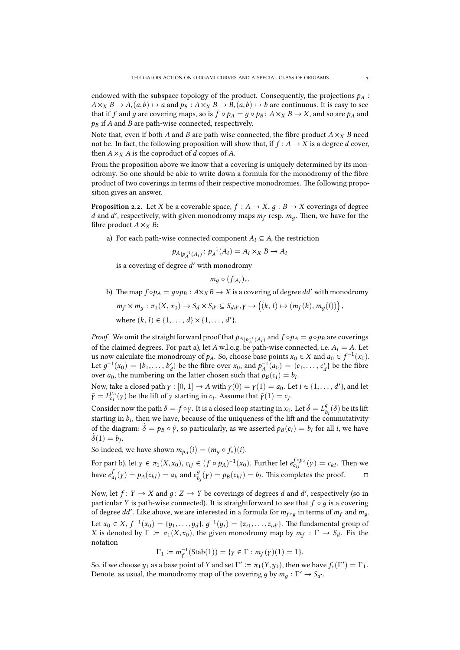endowed with the subspace topology of the product. Consequently, the projections  $p_A$ :  $A \times_X B \to A$ ,  $(a,b) \mapsto a$  and  $p_B : A \times_X B \to B$ ,  $(a,b) \mapsto b$  are continuous. It is easy to see that if *f* and *g* are covering maps, so is  $f \circ p_A = q \circ p_B : A \times_X B \to X$ , and so are  $p_A$  and *p<sup>B</sup>* if *A* and *B* are path-wise connected, respectively.

Note that, even if both *A* and *B* are path-wise connected, the fibre product  $A \times_X B$  need not be. In fact, the following proposition will show that, if  $f: A \rightarrow X$  is a degree *d* cover, then  $A \times_X A$  is the coproduct of *d* copies of *A*.

From the proposition above we know that a covering is uniquely determined by its monodromy. So one should be able to write down a formula for the monodromy of the fibre product of two coverings in terms of their respective monodromies. The following proposition gives an answer.

<span id="page-2-0"></span>**Proposition 2.2.** Let *X* be a coverable space,  $f : A \rightarrow X$ ,  $g : B \rightarrow X$  coverings of degree *d* and *d'*, respectively, with given monodromy maps  $m_f$  resp.  $m_g$ . Then, we have for the fibre product  $A \times_X B$ :

a) For each path-wise connected component  $A_i \subseteq A$ , the restriction

$$
p_{A|p_A^{-1}(A_i)} \colon p_A^{-1}(A_i) = A_i \times_X B \to A_i
$$

is a covering of degree *d* ′ with monodromy

 $m_g$  ⊙  $(f|_{A_i})_*$ .

b) The map  $f \circ p_A = g \circ p_B : A \times_X B \to X$  is a covering of degree *dd'* with monodromy  $m_f \times m_g : \pi_1(X, x_0) \to S_d \times S_{d'} \subseteq S_{dd'}, \gamma \mapsto ((k, l) \mapsto (m_f(k), m_g(l)))$ , where  $(k, l) \in \{1, \ldots, d\} \times \{1, \ldots, d'\}.$ 

*Proof.* We omit the straightforward proof that  $p_{A|p_A^{-1}(A_i)}$  and  $f \circ p_A = g \circ p_B$  are coverings of the claimed degrees. For part a), let  $A$  w.l.o.g. be path-wise connected, i.e.  $A_i = A$ . Let us now calculate the monodromy of  $p_A$ . So, choose base points  $x_0$  ∈ *X* and  $a_0$  ∈  $f^{-1}(x_0)$ . Let  $g^{-1}(x_0) = \{b_1, \ldots, b'_a\}$ *d*<sup>*d*</sup> be the fibre over *x*<sub>0</sub>, and  $p_A^{-1}(a_0) = \{c_1, \ldots, c'_a\}$  $\mathcal{A}_d$ } be the fibre over  $a_0$ , the numbering on the latter chosen such that  $p_B(c_i) = b_i$ .

Now, take a closed path  $\gamma : [0, 1] \to A$  with  $\gamma(0) = \gamma(1) = a_0$ . Let  $i \in \{1, \ldots, d'\}$ , and let  $\tilde{\gamma} = L_{c_i}^{p_A}(\gamma)$  be the lift of  $\gamma$  starting in *c<sub>i</sub>*. Assume that  $\tilde{\gamma}(1) = c_j$ .

Consider now the path  $\delta = f \circ \gamma$ . It is a closed loop starting in  $x_0$ . Let  $\tilde{\delta} = L^g_\rho$  $\int_{b_i}^{g} (\delta)$  be its lift starting in  $b_i$ , then we have, because of the uniqueness of the lift and the commutativity of the diagram:  $\delta = p_B \circ \tilde{\gamma}$ , so particularly, as we asserted  $p_B(c_i) = b_i$  for all *i*, we have  $\tilde{\delta}(1) = b_j.$ 

So indeed, we have shown  $m_{p_A}(i) = (m_g \circ f_*)(i)$ .

For part b), let  $\gamma \in \pi_1(X, x_0)$ ,  $c_{ij} \in (f \circ p_A)^{-1}(x_0)$ . Further let  $e_{c_{ij}}^{f \circ p_A}(\gamma) = c_{kl}$ . Then we have  $e^f_{a_i}(\gamma) = p_A(c_{kl}) = a_k$  and  $e^g_b$  $b_j^g(y) = p_B(c_{kl}) = b_l$ . This completes the proof. □

Now, let  $f: Y \to X$  and  $g: Z \to Y$  be coverings of degrees *d* and *d'*, respectively (so in particular *Y* is path-wise connected). It is straightforward to see that *f* ◦ *д* is a covering of degree  $dd'$ . Like above, we are interested in a formula for  $m_{f \circ g}$  in terms of  $m_f$  and  $m_g$ . Let *x*<sub>0</sub> ∈ *X*,  $f^{-1}(x_0) = \{y_1, \ldots, y_d\}, g^{-1}(y_i) = \{z_{i1}, \ldots, z_{id'}\}$ . The fundamental group of *X* is denoted by  $\Gamma := \pi_1(X, x_0)$ , the given monodromy map by  $m_f : \Gamma \to S_d$ . Fix the notation

$$
\Gamma_1 \coloneqq m_f^{-1}(\mathrm{Stab}(1)) = \{ \gamma \in \Gamma : m_f(\gamma)(1) = 1 \}.
$$

So, if we choose  $y_1$  as a base point of *Y* and set  $\Gamma' \coloneqq \pi_1(Y, y_1)$ , then we have  $f_*(\Gamma') = \Gamma_1$ . Denote, as usual, the monodromy map of the covering *g* by  $m_g : \Gamma' \to S_{d'}$ .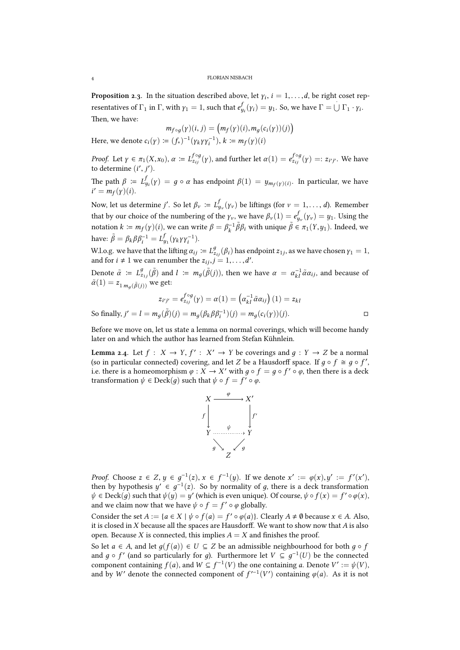FLORIAN NISBACH

<span id="page-3-0"></span>**Proposition 2.3.** In the situation described above, let  $\gamma_i$ ,  $i = 1, \ldots, d$ , be right coset representatives of  $\Gamma_1$  in  $\Gamma$ , with  $\gamma_1 = 1$ , such that  $e^{f}_{y_i}(\gamma_i) = y_1$ . So, we have  $\Gamma = \bigcup \Gamma_1 \cdot \gamma_i$ . Then, we have:

$$
m_{f \circ g}(\gamma)(i, j) = (m_f(\gamma)(i), m_g(c_i(\gamma))(j))
$$

Here, we denote  $c_i(y) := (f_*)^{-1}(\gamma_k \gamma_j \gamma_i^{-1}), k := m_f(y)(i)$ 

*Proof.* Let  $\gamma \in \pi_1(X, x_0)$ ,  $\alpha \coloneqq L_{z_{ij}}^{f \circ g}(\gamma)$ , and further let  $\alpha(1) = e_{z_{ij}}^{f \circ g}(\gamma) =: z_{i'j'}$ . We have to determine  $(i', j')$ .

The path  $β \coloneqq L_{y_i}^f(\gamma) = g \circ α$  has endpoint  $β(1) = y_{m_f(\gamma)(i)}$ . In particular, we have  $i' = m_f(\gamma)(i).$ 

Now, let us determine *j'*. So let  $\beta_{\nu} \coloneqq L_{y_{\nu}}^f(\gamma_{\nu})$  be liftings (for  $\nu = 1,\ldots,d$ ). Remember that by our choice of the numbering of the  $\gamma_\nu$ , we have  $\beta_\nu(1)=e^f_{y_\nu}(\gamma_\nu)=y_1.$  Using the notation  $k \coloneqq m_f(\gamma)(i)$ , we can write  $\beta = \beta_k^{-1} \tilde{\beta} \beta_i$  with unique  $\tilde{\beta} \in \pi_1(Y, y_1)$ . Indeed, we  $h$ ave:  $\tilde{\beta} = \beta_k \beta \beta_i^{-1} = L_{y_1}^f(\gamma_k \gamma \gamma_i^{-1}).$ 

W.l.o.g. we have that the lifting  $\alpha_{ij} \coloneqq L_{z_{ij}}^g(\beta_i)$  has endpoint  $z_{1j}$ , as we have chosen  $\gamma_1=1$ , and for  $i \neq 1$  we can renumber the  $z_{ij}, j = 1, \ldots, d'$ .

Denote  $\tilde{\alpha} := L_{z_{1j}}^g(\tilde{\beta})$  and  $l := m_g(\tilde{\beta}(j))$ , then we have  $\alpha = \alpha_{kl}^{-1} \tilde{\alpha} \alpha_{ij}$ , and because of  $\tilde{\alpha}(1) = z_{1\, m_g(\tilde{\beta}(j))}$  we get:

$$
z_{i'j'} = e_{z_{ij}}^{f \circ g}(\gamma) = \alpha(1) = \left(\alpha_{kl}^{-1} \tilde{\alpha} \alpha_{ij}\right)(1) = z_{kl}
$$
  
So finally,  $j' = l = m_g(\tilde{\beta})(j) = m_g(\beta_k \beta \beta_i^{-1})(j) = m_g(c_i(\gamma))(j).$ 

Before we move on, let us state a lemma on normal coverings, which will become handy later on and which the author has learned from Stefan Kühnlein.

<span id="page-3-1"></span>**Lemma 2.4.** Let  $f: X \to Y, f': X' \to Y$  be coverings and  $g: Y \to Z$  be a normal (so in particular connected) covering, and let *Z* be a Hausdorff space. If  $g \circ f \cong g \circ f'$ , i.e. there is a homeomorphism  $\varphi : X \to X'$  with  $g \circ f = g \circ f' \circ \varphi$ , then there is a deck transformation  $\psi \in \mathrm{Deck}(g)$  such that  $\psi \circ f = f' \circ \varphi$ .



*Proof.* Choose *z* ∈ *Z*, *y* ∈  $g^{-1}(z)$ ,  $x$  ∈  $f^{-1}(y)$ . If we denote  $x' := \varphi(x), y' := f'(x')$ , then by hypothesis  $y' \in g^{-1}(z)$ . So by normality of *g*, there is a deck transformation  $\psi \in \text{Deck}(g)$  such that  $\psi(y) = y'$  (which is even unique). Of course,  $\psi \circ f(x) = f' \circ \varphi(x)$ , and we claim now that we have  $\psi \circ f = f' \circ \varphi$  globally.

Consider the set  $A := \{a \in X \mid \psi \circ f(a) = f' \circ \varphi(a)\}\)$ . Clearly  $A \neq \emptyset$  because  $x \in A$ . Also, it is closed in *X* because all the spaces are Hausdorff. We want to show now that *A* is also open. Because *X* is connected, this implies  $A = X$  and finishes the proof.

So let *a* ∈ *A*, and let  $g(f(a)) \in U \subseteq Z$  be an admissible neighbourhood for both  $g \circ f$ and  $g \circ f'$  (and so particularly for *g*). Furthermore let  $V \subseteq g^{-1}(U)$  be the connected component containing  $f(a)$ , and  $W \subseteq f^{-1}(V)$  the one containing *a*. Denote  $V' := \psi(V)$ , and by *W*<sup>*'*</sup> denote the connected component of  $f'^{-1}(V')$  containing  $\varphi(a)$ . As it is not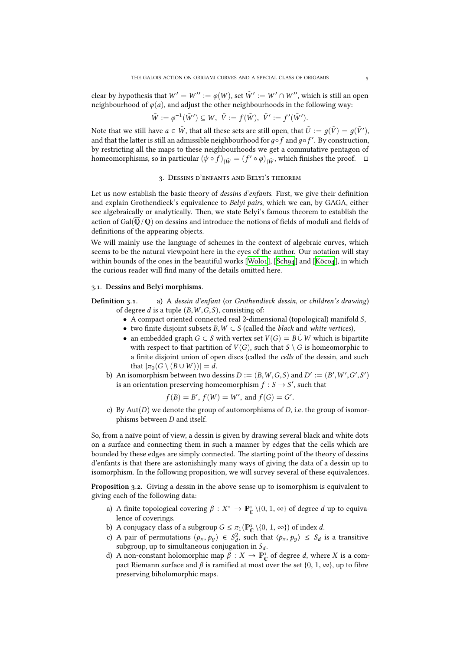clear by hypothesis that  $W' = W'' := \varphi(W)$ , set  $\tilde{W}' := W' \cap W''$ , which is still an open neighbourhood of  $\varphi(a)$ , and adjust the other neighbourhoods in the following way:

$$
\tilde{W} := \varphi^{-1}(\tilde{W}') \subseteq W, \ \tilde{V} := f(\tilde{W}), \ \tilde{V}' := f'(\tilde{W}').
$$

Note that we still have  $a \in \tilde{W}$ , that all these sets are still open, that  $\tilde{U} := g(\tilde{V}) = g(\tilde{V}') ,$ and that the latter is still an admissible neighbourhood for  $g ∘ f$  and  $g ∘ f'$ . By construction, by restricting all the maps to these neighbourhoods we get a commutative pentagon of homeomorphisms, so in particular  $(\psi \circ f)_{|\tilde{W}} = (f' \circ \varphi)_{|\tilde{W}}$ , which finishes the proof.  $\Box$ 

## 3. DESSINS D'ENFANTS AND BELYI'S THEOREM

<span id="page-4-0"></span>Let us now establish the basic theory of *dessins d'enfants*. First, we give their definition and explain Grothendieck's equivalence to *Belyi pairs*, which we can, by GAGA, either see algebraically or analytically. Then, we state Belyi's famous theorem to establish the action of Gal( $\overline{Q}/Q$ ) on dessins and introduce the notions of fields of moduli and fields of definitions of the appearing objects.

We will mainly use the language of schemes in the context of algebraic curves, which seems to be the natural viewpoint here in the eyes of the author. Our notation will stay within bounds of the ones in the beautiful works [Wolo1], [Sch94] and [Köco4], in which the curious reader will find many of the details omitted here.

#### .. **Dessins and Belyi morphisms.**

- **Definition ..** a) A *dessin d'enfant* (or *Gro[thendie](#page-38-0)ck [dessin](#page-37-3)*, or *c[hildren'](#page-37-4)s drawing*) of degree *d* is a tuple (*B*,*W* ,*G*,*S*), consisting of:
	- A compact oriented connected real 2-dimensional (topological) manifold *S*,
	- two finite disjoint subsets *B*,*W* ⊂ *S* (called the *black* and *white vertices*),
	- an embedded graph *G* ⊂ *S* with vertex set  $V(G) = B \cup W$  which is bipartite with respect to that partition of  $V(G)$ , such that  $S \setminus G$  is homeomorphic to a finite disjoint union of open discs (called the *cells* of the dessin, and such that  $|\pi_0(G \setminus (B \cup W))| = d$ .
	- b) An isomorphism between two dessins  $D := (B, W, G, S)$  and  $D' := (B', W', G', S')$ is an orientation preserving homeomorphism  $f : S \rightarrow S'$ , such that

$$
f(B) = B'
$$
,  $f(W) = W'$ , and  $f(G) = G'$ .

c) By Aut(*D*) we denote the group of automorphisms of *D*, i.e. the group of isomorphisms between *D* and itself.

So, from a naïve point of view, a dessin is given by drawing several black and white dots on a surface and connecting them in such a manner by edges that the cells which are bounded by these edges are simply connected. The starting point of the theory of dessins d'enfants is that there are astonishingly many ways of giving the data of a dessin up to isomorphism. In the following proposition, we will survey several of these equivalences.

**Proposition 3.2.** Giving a dessin in the above sense up to isomorphism is equivalent to giving each of the following data:

- a) A finite topological covering  $\beta: X^* \to \mathbb{P}^1_{\mathbb{C}} \setminus \{0, 1, \infty\}$  of degree *d* up to equivalence of coverings.
- <span id="page-4-1"></span>b) A conjugacy class of a subgroup  $G \leq \pi_1(\mathbb{P}^1_{\mathbb{C}} \setminus \{0, 1, \infty\})$  of index *d*.
- c) A pair of permutations  $(p_x, p_y) \in S_d^2$ , such that  $\langle p_x, p_y \rangle \le S_d$  is a transitive subgroup, up to simultaneous conjugation in *S<sup>d</sup>* .
- d) A non-constant holomorphic map  $\hat{\beta}: X \to \mathbb{P}_{\mathbb{C}}^1$  of degree *d*, where *X* is a compact Riemann surface and  $\beta$  is ramified at most over the set {0, 1,  $\infty$ }, up to fibre preserving biholomorphic maps.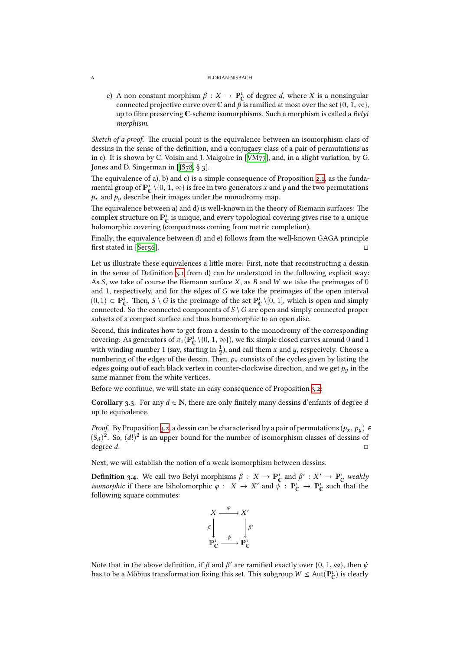e) A non-constant morphism  $\beta : X \to \mathbb{P}_{\mathbb{C}}^1$  of degree *d*, where *X* is a nonsingular connected projective curve over  $\mathbb C$  and  $\beta$  is ramified at most over the set  $\{0, 1, \infty\}$ , up to fibre preserving C-scheme isomorphisms. Such a morphism is called a *Belyi morphism*.

*Sketch of a proof.* The crucial point is the equivalence between an isomorphism class of dessins in the sense of the definition, and a conjugacy class of a pair of permutations as in c). It is shown by C. Voisin and J. Malgoire in [VM77], and, in a slight variation, by G. Jones and D. Singerman in [JS $78,$  § 3].

The equivalence of a), b) and c) is a simple consequence of Proposition 2.1, as the fundamental group of  $\mathbb{P}^1_{\mathbb{C}} \setminus \{0, 1, \infty\}$  is free in two generators *x* and *y* and the two permutations  $p_x$  and  $p_y$  describe their images under the monod[romy m](#page-37-5)ap.

The equivalence between a) [and](#page-37-6)  $d$ ) is well-known in the theory of Riemann surfaces: The complex structure on  $\mathbb{P}^1_{\mathbb{C}}$  is unique, and every topological covering give[s ri](#page-1-1)se to a unique holomorphic covering (compactness coming from metric completion).

Finally, the equivalence between d) and e) follows from the well-known GAGA principle  $\Box$  first stated in [Ser56].  $\Box$ 

Let us illustrate these equivalences a little more: First, note that reconstructing a dessin in the sense of Definition 3.1 from d) can be understood in the following explicit way: As *S*, we take [of cou](#page-37-7)rse the Riemann surface *X*, as *B* and *W* we take the preimages of 0 and 1, respectively, and for the edges of *G* we take the preimages of the open interval  $(0,1)$  ⊂  $\mathbb{P}_{\mathbb{C}}^1$ . Then, *S* \ *G* is the preimage of the set  $\mathbb{P}_{\mathbb{C}}^1$  \[0, 1], which is open and simply connected. So the connected components of  $S \setminus G$  are open and simply connected proper subsets of a compact surface and thus homeomorphic to an open disc.

Second, this indicates how to get from a dessin to the monodromy of the corresponding covering: As generators of  $\pi_1(\mathbb{P}^1_\mathbb{C} \setminus \{0, 1, \infty\})$ , we fix simple closed curves around 0 and 1 with winding number 1 (say, starting in  $\frac{1}{2}$ ), and call them *x* and *y*, respecively. Choose a numbering of the edges of the dessin. Then,  $p_x$  consists of the cycles given by listing the edges going out of each black vertex in counter-clockwise direction, and we get  $p_y$  in the same manner from the white vertices.

Before we continue, we will state an easy consequence of Proposition 3.2:

**Corollary 3.3.** For any  $d \in \mathbb{N}$ , there are only finitely many dessins d'enfants of degree *d* up to equivalence.

<span id="page-5-0"></span>*Proof.* By Proposition 3.2, a dessin can be characterised by a pair of per[muta](#page-4-1)tions  $(p_x, p_y) \in$  $(S_d)^2$ . So,  $(d!)^2$  is an upper bound for the number of isomorphism classes of dessins of degree *d*. □

Next, we will establis[h th](#page-4-1)e notion of a weak isomorphism between dessins.

**Definition 3.4.** We call two Belyi morphisms  $\beta : X \to \mathbb{P}^1_{\mathbb{C}}$  and  $\beta' : X' \to \mathbb{P}^1_{\mathbb{C}}$  weakly *isomorphic* if there are biholomorphic  $\varphi : X \to X'$  and  $\check{\psi} : \mathbb{P}_{\mathbb{C}}^1 \to \mathbb{P}_{\mathbb{C}}^1$  such that the following square commutes:

$$
X \xrightarrow{\varphi} X'
$$
  
\n
$$
\beta \downarrow \qquad \qquad \beta'
$$
  
\n
$$
\mathbf{P}_{\mathbb{C}}^1 \xrightarrow{\psi} \mathbf{P}_{\mathbb{C}}^1
$$

Note that in the above definition, if  $\beta$  and  $\beta'$  are ramified exactly over {0, 1, ∞}, then  $\psi$ has to be a Möbius transformation fixing this set. This subgroup  $W \leq Aut(P_{\mathbb{C}}^{1})$  is clearly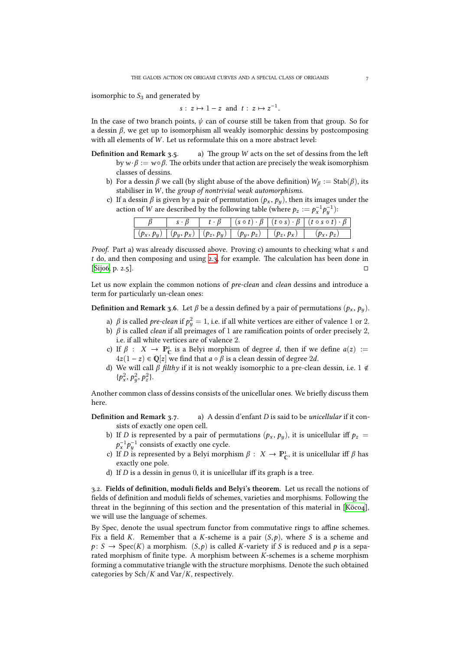isomorphic to  $S_3$  and generated by

$$
s: z \mapsto 1-z
$$
 and  $t: z \mapsto z^{-1}$ .

In the case of two branch points,  $\psi$  can of course still be taken from that group. So for a dessin  $\beta$ , we get up to isomorphism all weakly isomorphic dessins by postcomposing with all elements of *W* . Let us reformulate this on a more abstract level:

- **Definition and Remark 3.5. <br> (a) The group**  $W$  **acts on the set of dessins from the left** by  $w \cdot \beta := w \circ \beta$ . The orbits under that action are precisely the weak isomorphism classes of dessins.
	- b) For a dessin  $\beta$  we call (by slight abuse of the above definition)  $W_{\beta} := \text{Stab}(\beta)$ , its stabiliser in *W* , the *group of nontrivial weak automorphisms*.
	- c) If a dessin  $\beta$  is given by a pair of permutation  $(p_x, p_y)$ , then its images under the action of *W* are described by the following table (where  $p_z := p_x^{-1} p_y^{-1}$ ):

|              |  | $(s \circ t)$                          | $(t \circ s) \cdot \beta$ | $(t \circ s \circ t)$ |
|--------------|--|----------------------------------------|---------------------------|-----------------------|
| $(p_x, p_y)$ |  | $(p_y, p_x)   (p_z, p_y)   (p_y, p_z)$ | $(p_z, p_x)$              |                       |

*Proof.* Part a) was already discussed above. Proving c) amounts to checking what *s* and *t* do, and then composing and using 2.3, for example. The calculation has been done in  $[Sij$ 06, p. 2.5].

Let us now explain the common notions of *pre-clean* and *clean* dessins and introduce a term for particularly un-clean ones:

**[Defin](#page-37-8)ition and Remark 3.6.** Let  $\beta$  be a dessin defined by a pair of permutations  $(p_x, p_y)$ .

- a) *β* is called *pre-clean* if  $p_y^2 = 1$ , i.e. if all white vertices are either of valence 1 or 2.
- b) *β* is called *clean* if all preimages of 1 are ramification points of order precisely 2, i.e. if all white vertices are of valence 2.
- c) If  $\beta$  :  $X \to \mathbb{P}_{\mathbb{C}}^1$  is a Belyi morphism of degree *d*, then if we define  $a(z) :=$  $4z(1 − z) ∈ \mathbb{Q}[z]$  we find that  $a ∘ β$  is a clean dessin of degree 2*d*.
- d) We will call *β filthy* if it is not weakly isomorphic to a pre-clean dessin, i.e. 1 <  $\{p_x^2, p_y^2, p_z^2\}.$

Another common class of dessins consists of the unicellular ones. We briefly discuss them here.

- **Definition and Remark 3.7.** a) A dessin d'enfant *D* is said to be *unicellular* if it consists of exactly one open cell.
	- b) If *D* is represented by a pair of permutations  $(p_x, p_y)$ , it is unicellular iff  $p_z =$  $p_x^{-1}p_y^{-1}$  consists of exactly one cycle.
	- c) If *D* is represented by a Belyi morphism  $\beta : X \to \mathbb{P}_{\mathbb{C}}^1$ , it is unicellular iff  $\beta$  has exactly one pole.
	- d) If *D* is a dessin in genus 0, it is unicellular iff its graph is a tree.

.. **Fields of definition, moduli fields and Belyi's theorem.** Let us recall the notions of fields of definition and moduli fields of schemes, varieties and morphisms. Following the threat in the beginning of this section and the presentation of this material in [Köco4], we will use the language of schemes.

<span id="page-6-0"></span>By Spec, denote the usual spectrum functor from commutative rings to affine schemes. Fix a field *K*. Remember that a *K*-scheme is a pair  $(S, p)$ , where *S* is a scheme and  $p: S \to \text{Spec}(K)$  a morphism.  $(S, p)$  is called *K*-variety if *S* is reduced and *p* is [a sepa](#page-37-4)rated morphism of finite type. A morphism between *K*-schemes is a scheme morphism forming a commutative triangle with the structure morphisms. Denote the such obtained categories by Sch/*K* and Var/*K*, respectively.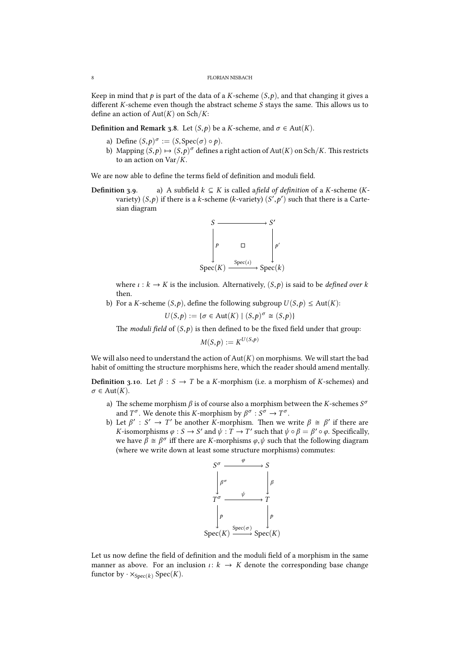#### 8 FLORIAN NISBACH

Keep in mind that  $p$  is part of the data of a *K*-scheme  $(S, p)$ , and that changing it gives a different *K*-scheme even though the abstract scheme *S* stays the same. This allows us to define an action of Aut(*K*) on Sch/*K*:

**Definition and Remark 3.8.** Let  $(S, p)$  be a *K*-scheme, and  $\sigma \in Aut(K)$ .

- a) Define  $(S, p)^{\sigma} := (S, \text{Spec}(\sigma) \circ p)$ .
- b) Mapping  $(S, p) \mapsto (S, p)^\sigma$  defines a right action of Aut $(K)$  on Sch/*K*. This restricts to an action on Var/*K*.

We are now able to define the terms field of definition and moduli field.

**Definition** 3.9. a) A subfield  $k \subseteq K$  is called a *field of definition* of a *K*-scheme (*K*variety)  $(S, p)$  if there is a *k*-scheme (*k*-variety)  $(S', p')$  such that there is a Cartesian diagram



where  $\iota : k \to K$  is the inclusion. Alternatively,  $(S, p)$  is said to be *defined over*  $k$ then.

b) For a *K*-scheme  $(S, p)$ , define the following subgroup  $U(S, p) \le Aut(K)$ :

$$
U(S,p) := \{ \sigma \in \text{Aut}(K) \mid (S,p)^{\sigma} \cong (S,p) \}
$$

The *moduli field* of  $(S, p)$  is then defined to be the fixed field under that group:

$$
M(S,p) := K^{U(S,p)}
$$

We will also need to understand the action of  $Aut(K)$  on morphisms. We will start the bad habit of omitting the structure morphisms here, which the reader should amend mentally.

**Definition 3.10.** Let  $\beta$  :  $S \rightarrow T$  be a *K*-morphism (i.e. a morphism of *K*-schemes) and  $\sigma \in \text{Aut}(K)$ .

- a) The scheme morphism  $\beta$  is of course also a morphism between the *K*-schemes  $S^{\sigma}$ and  $T^{\sigma}$ . We denote this *K*-morphism by  $\beta^{\sigma}$  :  $S^{\sigma} \rightarrow T^{\sigma}$ .
- b) Let  $\beta' : S' \to T'$  be another *K*-morphism. Then we write  $\beta \cong \beta'$  if there are *K*-isomorphisms  $\varphi : S \to S'$  and  $\psi : T \to T'$  such that  $\psi \circ \beta = \beta' \circ \varphi$ . Specifically, we have *β*  $\cong$  *β*<sup> $σ$ </sup> iff there are *K*-morphisms *φ*, *ψ* such that the following diagram (where we write down at least some structure morphisms) commutes:



Let us now define the field of definition and the moduli field of a morphism in the same manner as above. For an inclusion  $\iota: k \to K$  denote the corresponding base change functor by  $\cdot \times_{\text{Spec}(k)} \text{Spec}(K)$ .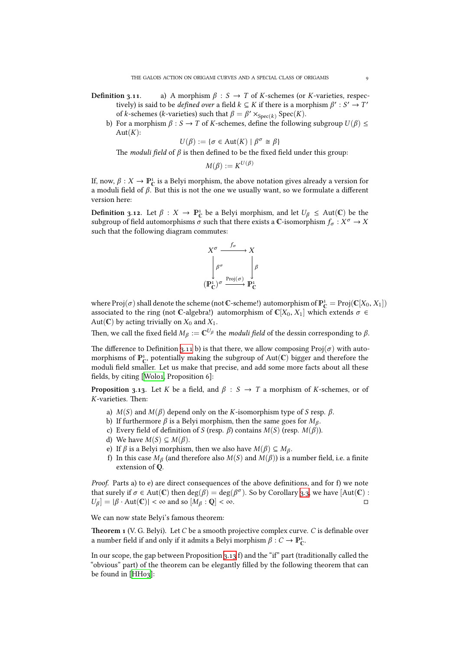- **Definition 3.11.** a) A morphism  $\beta$  :  $S \rightarrow T$  of *K*-schemes (or *K*-varieties, respectively) is said to be *defined over* a field  $k \subseteq K$  if there is a morphism  $\beta' : S' \to T'$ of *k*-schemes (*k*-varieties) such that  $\beta = \beta' \times_{Spec(k)} Spec(K)$ .
	- b) For a morphism *β* : *S* → *T* of *K*-schemes, define the following subgroup  $U(β)$  ≤  $Aut(K)$ :

$$
U(\beta) := \{ \sigma \in \text{Aut}(K) \mid \beta^{\sigma} \cong \beta \}
$$

The *moduli field* of  $\beta$  is then defined to be the fixed field under this group:

$$
M(\beta) := K^{U(\beta)}
$$

If, now,  $\beta: X \to \mathbb{P}^1_{\mathbb{C}}$  is a Belyi morphism, the above notation gives already a version for a moduli field of *β*. But this is not the one we usually want, so we formulate a different version here:

<span id="page-8-0"></span>**Definition 3.12.** Let  $\beta : X \to \mathbb{P}_{\mathbb{C}}^1$  be a Belyi morphism, and let  $U_{\beta} \leq \text{Aut}(\mathbb{C})$  be the  $s$ ubgroup of field automorphisms  $\sigma$  such that there exists a  $\mathbb C$ -isomorphism  $f_\sigma: X^\sigma \to X$ such that the following diagram commutes:



where  $\text{Proj}(\sigma)$  shall denote the scheme (not  $\mathbb{C}$ -scheme!) automorphism of  $\mathbb{P}^1_{\mathbb{C}} = \text{Proj}(\mathbb{C}[X_0, X_1])$ associated to the ring (not C-algebra!) automorphism of  $\mathbb{C}[X_0, X_1]$  which extends  $\sigma \in$ Aut( $\mathbb{C}$ ) by acting trivially on  $X_0$  and  $X_1$ .

Then, we call the fixed field  $M_\beta:=\mathbb{C}^{U_\beta}$  the *moduli field* of the dessin corresponding to  $\beta.$ 

The difference to Definition 3.11 b) is that there, we allow composing  $\text{Proj}(\sigma)$  with automorphisms of  $\mathbb{P}^1_{\mathbb{C}}$ , potentially making the subgroup of  $Aut(\mathbb{C})$  bigger and therefore the moduli field smaller. Let us make that precise, and add some more facts about all these fields, by citing [Wolo1, Proposition 6]:

**Proposition 3.13.** Let *K* be a field, and  $\beta$  : *S*  $\rightarrow$  *T* a morphism of *K*-schemes, or of K-varieties. Then:

- a) *M*(*S*) and *[M](#page-38-0)*(*β*) depend only on the *K*-isomorphism type of *S* resp. *β*.
- b) If furthermore *β* is a Belyi morphism, then the same goes for *M<sup>β</sup>* .
- c) Every field of definition of *S* (resp. *β*) contains *M*(*S*) (resp. *M*(*β*)).
- d) We have  $M(S) \subseteq M(\beta)$ .
- e) If  $\beta$  is a Belyi morphism, then we also have  $M(\beta) \subseteq M_\beta$ .
- f) In this case  $M_\beta$  (and therefore also  $M(S)$  and  $M(\beta)$ ) is a number field, i.e. a finite extension of  $Q$ .

*Proof.* Parts a) to e) are direct consequences of the above definitions, and for f) we note that surely if  $\sigma \in Aut(\mathbb{C})$  then  $\deg(\beta) = \deg(\beta^{\sigma})$ . So by Corollary 3.3, we have  $[Aut(\mathbb{C}) :$  $U_{\beta}$  =  $|\beta \cdot \text{Aut}(\mathbb{C})| < \infty$  and so  $[M_{\beta} : \mathbb{Q}] < \infty$ .

We can now state Belyi's famous theorem:

**eorem**  (V. G. Belyi)**.** Let *C* be a smooth projective complex cur[ve.](#page-5-0) *C* is definable over a number field if and only if it admits a Belyi morphism  $\beta: C \to \mathbb{P}_{\mathbb{C}}^1$ .

In our scope, the gap between Proposition 3.13 f) and the "if" part (traditionally called the "obvious" part) of the theorem can be elegantly filled by the following theorem that can be found in  $[HH<sub>03</sub>]$ :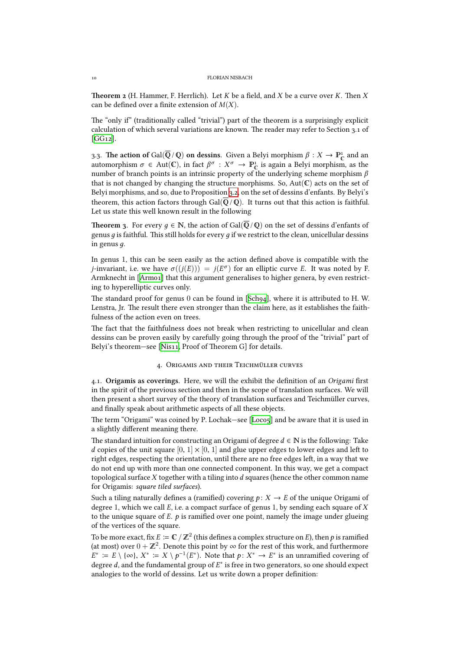**Theorem 2** (H. Hammer, F. Herrlich). Let  $K$  be a field, and  $X$  be a curve over  $K$ . Then  $X$ can be defined over a finite extension of *M*(*X*).

The "only if" (traditionally called "trivial") part of the theorem is a surprisingly explicit calculation of which several variations are known. The reader may refer to Section  $3.1$  of  $[GG12]$ .

3.3. The action of Gal( $\overline{Q}/Q$ ) on dessins. Given a Belyi morphism  $\beta: X \to \mathbb{P}^1_{\mathbb{C}}$  and an  $\sigma$  ∈ Aut(**C**), in fact  $\beta^{\sigma}$  :  $X^{\sigma}$  →  $\mathbb{P}_{C}^{1}$  is again a Belyi morphism, as the automorphism *σ* ∈ Aut(**C**), in fact  $\beta^{\sigma}$  :  $X^{\sigma}$  →  $\mathbb{P}_{C}^{1}$  is again a Belyi morphism, as the [numbe](#page-36-1)r of branch points is an intrinsic property of the underlying scheme morphism *β* that is not changed by changing the structure morphisms. So,  $Aut(\mathbb{C})$  acts on the set of Belyi morphisms, and so, due to Proposition 3.2, on the set of dessins d'enfants. By Belyi's theorem, this action factors through  $Gal(\mathbb{Q}/\mathbb{Q})$ . It turns out that this action is faithful. Let us state this well known result in the following

**Theorem 3.** For every  $q \in \mathbb{N}$ , the action of [Ga](#page-4-1)l( $\overline{Q}/Q$ ) on the set of dessins d'enfants of genus *q* is faithful. This still holds for every *q* if we restrict to the clean, unicellular dessins in genus *д*.

<span id="page-9-0"></span>In genus 1, this can be seen easily as the action defined above is compatible with the *j*-invariant, i.e. we have  $\sigma((j(E))) = j(E^{\sigma})$  for an elliptic curve *E*. It was noted by F. Armknecht in [Armo1] that this argument generalises to higher genera, by even restricting to hyperelliptic curves only.

The standard proof for genus 0 can be found in [Sch94], where it is attributed to H. W. Lenstra, Jr. The result there even stronger than the claim here, as it establishes the faithfulness of the a[ction ev](#page-36-2)en on trees.

The fact that the faithfulness does not break when restricting to unicellular and clean dessins can be proven easily by carefully going t[hrough](#page-37-3) the proof of the "trivial" part of Belyi's theorem-see [Nis11, Proof of Theorem G] for details.

### 4. ORIGAMIS AND THEIR TEICHMÜLLER CURVES

.. **Origamis as cov[erings.](#page-37-2)** Here, we will the exhibit the definition of an *Origami* first in the spirit of the previous section and then in the scope of translation surfaces. We will then present a short survey of the theory of translation surfaces and Teichmüller curves, and finally speak about arithmetic aspects of all these objects.

The term "Origami" was coined by P. Lochak—see [Loco5] and be aware that it is used in a slightly different meaning there.

The standard intuition for constructing an Origami of degree  $d \in \mathbb{N}$  is the following: Take *d* copies of the unit square  $[0, 1] \times [0, 1]$  and glue upper edges to lower edges and left to right edges, respecting the orientation, until there [are no f](#page-37-9)ree edges left, in a way that we do not end up with more than one connected component. In this way, we get a compact topological surface *X* together with a tiling into *d* squares (hence the other common name for Origamis: *square tiled surfaces*).

Such a tiling naturally defines a (ramified) covering  $p: X \to E$  of the unique Origami of degree 1, which we call *E*, i.e. a compact surface of genus 1, by sending each square of *X* to the unique square of *E*. *p* is ramified over one point, namely the image under glueing of the vertices of the square.

To be more exact, fix  $E\coloneqq\mathbb{C}\,/\,\mathbb{Z}^2$  (this defines a complex structure on  $E$ ), then  $p$  is ramified (at most) over  $0 + \mathbb{Z}^2$ . Denote this point by  $\infty$  for the rest of this work, and furthermore *E*<sup>∗</sup> := *E* \ {∞}, *X*<sup>∗</sup> := *X* \ *p*<sup>-1</sup>(*E*<sup>\*</sup>). Note that *p* : *X*<sup>\*</sup> → *E*<sup>\*</sup> is an unramified covering of degree *d*, and the fundamental group of *E* ∗ is free in two generators, so one should expect analogies to the world of dessins. Let us write down a proper definition: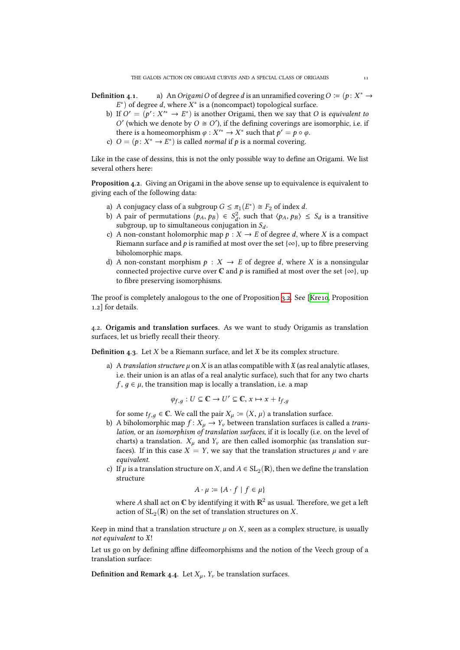- **Definition 4.1.** a) An *Origami O* of degree *d* is an unramified covering  $O := (p : X^* \rightarrow$  $E^*$ ) of degree *d*, where  $X^*$  is a (noncompact) topological surface.
	- b) If  $O' = (p' : X'^* \to E^*)$  is another Origami, then we say that *O* is *equivalent to*  $O'$  (which we denote by  $O \cong O'$ ), if the defining coverings are isomorphic, i.e. if there is a homeomorphism  $\varphi : X'^* \to X^*$  such that  $p' = p \circ \varphi$ .
	- c)  $O = (p: X^* \to E^*)$  is called *normal* if *p* is a normal covering.

Like in the case of dessins, this is not the only possible way to define an Origami. We list several others here:

**Proposition 4.2.** Giving an Origami in the above sense up to equivalence is equivalent to giving each of the following data:

- a) A conjugacy class of a subgroup  $G \leq \pi_1(E^*) \cong F_2$  of index *d*.
- b) A pair of permutations  $(p_A, p_B) \in S_d^2$ , such that  $\langle p_A, p_B \rangle \le S_d$  is a transitive subgroup, up to simultaneous conjugation in  $S_d$ .
- c) A non-constant holomorphic map  $p : X \to E$  of degree *d*, where *X* is a compact Riemann surface and *p* is ramified at most over the set  $\{\infty\}$ , up to fibre preserving biholomorphic maps.
- d) A non-constant morphism  $p : X \to E$  of degree *d*, where *X* is a nonsingular connected projective curve over  $\mathbb C$  and  $p$  is ramified at most over the set { $\infty$ }, up to fibre preserving isomorphisms.

The proof is completely analogous to the one of Proposition 3.2. See [Kre10, Proposition 1.2 for details.

.. **Origamis and translation surfaces.** As we want to study Origamis as translation surfaces, let us briefly recall their theory.

**Definition 4.3.** Let *X* be a Riemann surface, and let  $\mathfrak X$  be its complex structure.

a) A *translation structure*  $\mu$  on X is an atlas compatible with  $\mathfrak X$  (as real analytic atlases, i.e. their union is an atlas of a real analytic surface), such that for any two charts  $f, q \in \mu$ , the transition map is locally a translation, i.e. a map

$$
\varphi_{f,g}: U \subseteq \mathbb{C} \to U' \subseteq \mathbb{C}, x \mapsto x + t_{f,g}
$$

for some  $t_{f,q} \in \mathbb{C}$ . We call the pair  $X_{\mu} := (X, \mu)$  a translation surface.

- b) A biholomorphic map  $f: X_\mu \to Y_\nu$  between translation surfaces is called a *translation*, or an *isomorphism of translation surfaces*, if it is locally (i.e. on the level of charts) a translation.  $X_\mu$  and  $Y_\nu$  are then called isomorphic (as translation surfaces). If in this case  $X = Y$ , we say that the translation structures  $\mu$  and  $\nu$  are *equivalent*.
- c) If  $\mu$  is a translation structure on X, and  $A \in SL_2(\mathbb{R})$ , then we define the translation structure

$$
A \cdot \mu \coloneqq \{ A \cdot f \mid f \in \mu \}
$$

where  $A$  shall act on  $\mathbb C$  by identifying it with  $\mathbb R^2$  as usual. Therefore, we get a left action of  $\operatorname{SL}_2(\mathbb{R})$  on the set of translation structures on  $X$ .

Keep in mind that a translation structure  $\mu$  on  $X$ , seen as a complex structure, is usually *not equivalent* to X!

Let us go on by defining affine diffeomorphisms and the notion of the Veech group of a translation surface:

**Definition and Remark 4.4.** Let  $X_\mu$ ,  $Y_\nu$  be translation surfaces.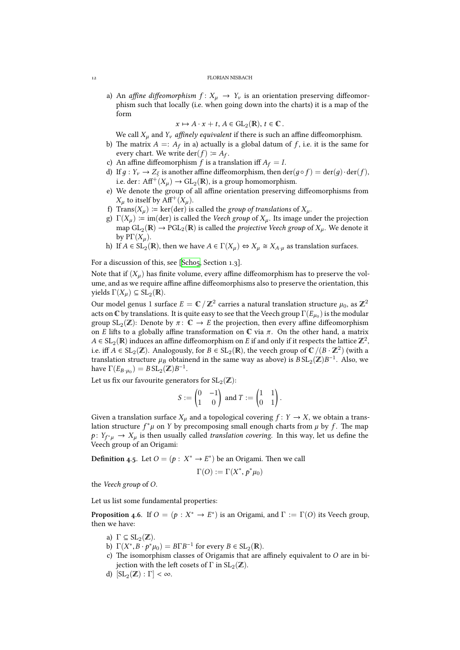a) An *affine diffeomorphism*  $f: X_\mu \to Y_\nu$  is an orientation preserving diffeomorphism such that locally (i.e. when going down into the charts) it is a map of the form

 $x \mapsto A \cdot x + t, A \in GL_2(\mathbb{R}), t \in \mathbb{C}.$ 

We call  $X_\mu$  and  $Y_\nu$  *affinely equivalent* if there is such an affine diffeomorphism.

- b) The matrix  $A =: A_f$  in a) actually is a global datum of  $f$ , i.e. it is the same for every chart. We write  $\text{der}(f) \coloneqq A_f$ .
- c) An affine diffeomorphism  $f$  is a translation iff  $A_f = I$ .
- d) If  $g: Y_v \to Z_{\xi}$  is another affine diffeomorphism, then  $\text{der}(g \circ f) = \text{der}(g) \cdot \text{der}(f)$ , i.e. der:  ${\rm Aff}^+(X_\mu)\rightarrow {\rm GL}_2(\mathbb{R}),$  is a group homomorphism.
- e) We denote the group of all affine orientation preserving diffeomorphisms from  $X_\mu$  to itself by Aff<sup>+</sup>( $X_\mu$ ).
- f) Trans( $X_\mu$ ) := ker(der) is called the *group of translations* of  $X_\mu$ .
- g)  $\Gamma(X_\mu) \coloneqq \text{im}(\text{der})$  is called the *Veech group* of  $X_\mu$ . Its image under the projection map  $GL_2(\mathbb{R}) \to {\rm PGL}_2(\mathbb{R})$  is called the *projective Veech group* of  $X_\mu$ . We denote it by  $\mathrm{P}\Gamma(X_\mu)$ .
- h) If  $A \in SL_2(\mathbb{R})$ , then we have  $A \in \Gamma(X_\mu) \Leftrightarrow X_\mu \cong X_{A \cdot \mu}$  as translation surfaces.

For a discussion of this, see [Scho5, Section 1.3].

Note that if (*X<sup>µ</sup>* ) has finite volume, every affine diffeomorphism has to preserve the volume, and as we require affine affine diffeomorphisms also to preserve the orientation, this  $yields \Gamma(X_{\mu}) \subseteq SL_2(\mathbb{R}).$ 

Our model genus  $1$  surface  $E = \mathbb{C} \, / \, \mathbb{Z}^2$  $E = \mathbb{C} \, / \, \mathbb{Z}^2$  $E = \mathbb{C} \, / \, \mathbb{Z}^2$  carries a natural translation structure  $\mu_0$ , as  $\mathbb{Z}^2$ acts on  $\mathbb C$  by translations. It is quite easy to see that the Veech group  $\Gamma(E_{\mu_0})$  is the modular group  $SL_2(\mathbb{Z})$ : Denote by  $\pi: \mathbb{C} \to E$  the projection, then every affine diffeomorphism on *E* lifts to a globally affine transformation on  $\mathbb C$  via  $\pi$ . On the other hand, a matrix *A* ∈ SL<sub>2</sub>( $\mathbb{R}$ ) induces an affine diffeomorphism on *E* if and only if it respects the lattice  $\mathbb{Z}^2$ , i.e. iff *A* ∈ SL<sub>2</sub>(**ℤ**). Analogously, for *B* ∈ SL<sub>2</sub>(**R**), the veech group of  $\mathbb{C}/(B \cdot \mathbb{Z}^2)$  (with a translation structure  $\mu_B$  obtainend in the same way as above) is  $B\,SL_2(\mathbb{Z})B^{-1}$ . Also, we have  $\Gamma(E_{B\cdot \mu_0}) = B \operatorname{SL}_2(\mathbb{Z}) B^{-1}.$ 

Let us fix our favourite generators for  $\mathrm{SL}_2(\mathbb{Z})$ :

$$
S:=\begin{pmatrix}0&-1\\1&0\end{pmatrix} \text{ and } T:=\begin{pmatrix}1&1\\0&1\end{pmatrix}.
$$

Given a translation surface  $X_\mu$  and a topological covering  $f: Y \to X$ , we obtain a translation structure  $f^*\mu$  on *Y* by precomposing small enough charts from  $\mu$  by  $f$ . The map  $p: Y_{f^*\mu} \to X_\mu$  is then usually called *translation covering*. In this way, let us define the Veech group of an Origami:

**Definition** 4.5. Let  $O = (p : X^* \to E^*)$  be an Origami. Then we call

$$
\Gamma(O) := \Gamma(X^*, p^*\mu_0)
$$

the *Veech group* of *O*.

Let us list some fundamental properties:

**Proposition 4.6.** If  $O = (p : X^* \to E^*)$  is an Origami, and  $\Gamma := \Gamma(O)$  its Veech group, then we have:

- a)  $\Gamma \subseteq SL_2(\mathbb{Z})$ .
- b)  $\Gamma(X^*, B \cdot p^* \mu_0) = B \Gamma B^{-1}$  for every  $B \in SL_2(\mathbb{R})$ .
- <span id="page-11-0"></span>c) The isomorphism classes of Origamis that are affinely equivalent to  $O$  are in bijection with the left cosets of  $\Gamma$  in  $\mathrm{SL}_2(\mathbb{Z}).$
- d)  $\left[\operatorname{SL}_2(\mathbb{Z}) : \Gamma\right] < \infty$ .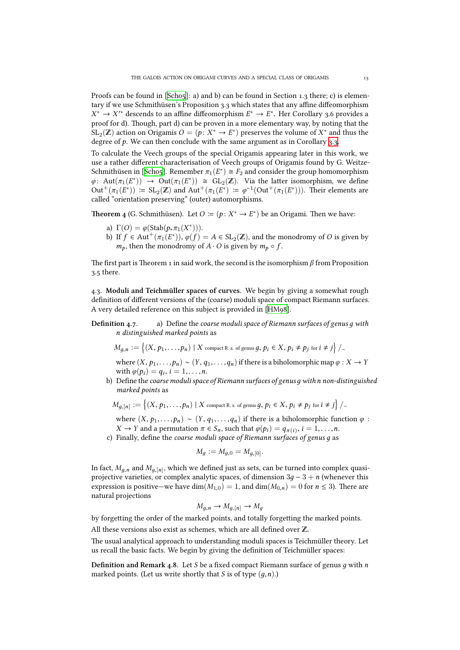Proofs can be found in  $[Sch_05]$ : a) and b) can be found in Section 1.3 there; c) is elementary if we use Schmithüsen's Proposition 3.3 which states that any affine diffeomorphism  $X^* \to X'^*$  descends to an affine diffeomorphism  $E^* \to E^*$ . Her Corollary 3.6 provides a proof for d). Though, part d) can be proven in a more elementary way, by noting that the  $SL_2(\mathbb{Z})$  action on Origa[mis](#page-37-10)  $O = (p: X^* \to E^*)$  preserves the volume of  $X^*$  and thus the degree of  $p$ . We can then conclude with the same argument as in Corollary  $3.3$ .

To calculate the Veech groups of the special Origamis appearing later in this work, we use a rather different characterisation of Veech groups of Origamis found by G. Weitze-Schmithüsen in [Scho5]. Remember  $\pi_1(E^*) \cong F_2$  and consider the group homomorphism  $\varphi$ : Aut $(\pi_1(E^*))$   $\to$  Out $(\pi_1(E^*))$   $\cong$  GL<sub>2</sub>(**Z**). Via the latter isomorphis[m, w](#page-5-0)e define  $Out^+(\pi_1(E^*)) := SL_2(\mathbb{Z})$  and  $Aut^+(\pi_1(E^*)) := \varphi^{-1}(Out^+(\pi_1(E^*)))$ . Their elements are called "orientation preserving" (outer) automorphisms.

**Theorem 4** (G. S[chmith](#page-37-10)üsen). Let  $O \coloneqq (p : X^* \to E^*)$  be an Origami. Then we have:

- a)  $\Gamma(O) = \varphi(\text{Stab}(p_* \pi_1(X^*))).$
- b) If  $f \in \text{Aut}^+(\pi_1(E^*)), \varphi(f) = A \in SL_2(\mathbb{Z})$ , and the monodromy of *O* is given by *m*<sup>*p*</sup>, then the monodromy of *A* · *O* is given by  $m_p \circ f$ .

The first part is Theorem 1 in said work, the second is the isomorphism  $\beta$  from Proposition  $3.5$  there.

.. **Moduli and Teimüller spaces of curves.** We begin by giving a somewhat rough definition of different versions of the (coarse) moduli space of compact Riemann surfaces. A very detailed reference on this subject is provided in [HM98].

**Definition 4.7.** a) Define the *coarse moduli space of Riemann surfaces of genus q with n distinguished marked points* as

$$
M_{g,n} := \left\{ (X, p_1, \ldots, p_n) \mid X \text{ compact R. s. of genus } g, p_i \in X, p_i \neq p_j \text{ for } i \neq j \right\} /_{\sim}
$$

where  $(X, p_1, \ldots, p_n) \sim (Y, q_1, \ldots, q_n)$  if there is a biholomorphic map  $\varphi : X \to Y$ with  $\varphi(p_i) = q_i, i = 1, \ldots, n$ .

b) Define the *coarse moduli space of Riemann surfaces of genusд withn non-distinguished marked points* as

$$
M_{g,[n]} := \left\{ (X, p_1, \ldots, p_n) \mid X \text{ compact R. s. of genus } g, p_i \in X, p_i \neq p_j \text{ for } i \neq j \right\} /_{\sim}
$$

where  $(X, p_1, \ldots, p_n) \sim (Y, q_1, \ldots, q_n)$  if there is a biholomorphic function  $\varphi$ : *X*  $\rightarrow$  *Y* and a permutation  $\pi \in S_n$ , such that  $\varphi(p_i) = q_{\pi(i)}, i = 1, \ldots, n$ .

c) Finally, define the *coarse moduli space of Riemann surfaces of genus д* as

$$
M_g := M_{g,0} = M_{g,[0]}.
$$

In fact,  $M_{g,n}$  and  $M_{g,[n]}$ , which we defined just as sets, can be turned into complex quasiprojective varieties, or complex analytic spaces, of dimension 3*д* − 3 + *n* (whenever this expression is positive—we have dim( $M_{1,0}$ ) = 1, and dim( $M_{0,n}$ ) = 0 for  $n \leq 3$ ). There are natural projections

$$
M_{g,n} \to M_{g,[n]} \to M_g
$$

by forgetting the order of the marked points, and totally forgetting the marked points. All these versions also exist as schemes, which are all defined over  $\mathbb{Z}$ .

The usual analytical approach to understanding moduli spaces is Teichmüller theory. Let us recall the basic facts. We begin by giving the definition of Teichmüller spaces:

<span id="page-12-0"></span>Definition and Remark 4.8. Let *S* be a fixed compact Riemann surface of genus *q* with *n* marked points. (Let us write shortly that *S* is of type (*д*,*n*).)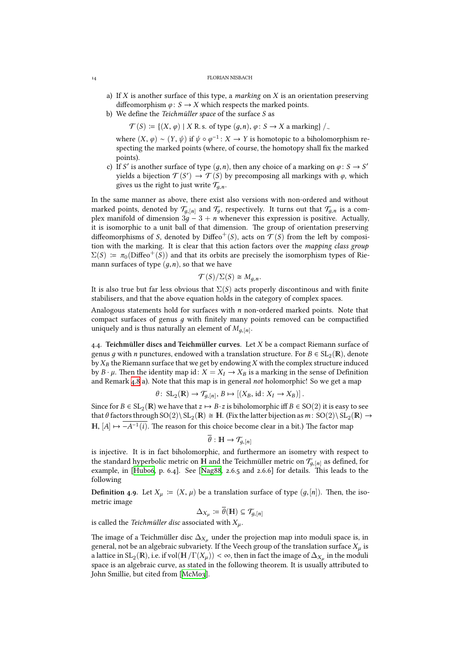- a) If *X* is another surface of this type, a *marking* on *X* is an orientation preserving diffeomorphism  $\varphi$ : *S*  $\rightarrow$  *X* which respects the marked points.
- b) We define the *Teichmüller space* of the surface *S* as

 $\mathcal{T}(S) := \{ (X, \varphi) \mid X \to \mathbb{R} \text{ s. of type } (g, n), \varphi \colon S \to X \text{ a marking } \}/\sim$ 

where  $(X, φ) ∼ (Y, ψ)$  if  $ψ ∘ φ<sup>-1</sup> : X → Y$  is homotopic to a biholomorphism respecting the marked points (where, of course, the homotopy shall fix the marked points).

c) If *S'* is another surface of type  $(g, n)$ , then any choice of a marking on  $\varphi : S \to S'$ yields a bijection  $\mathcal{T}(S') \to \mathcal{T}(S)$  by precomposing all markings with  $\varphi$ , which gives us the right to just write  $\mathcal{T}_{q,n}$ .

In the same manner as above, there exist also versions with non-ordered and without marked points, denoted by  $\mathcal{T}_{q,[n]}$  and  $\mathcal{T}_q$ , respectively. It turns out that  $\mathcal{T}_{q,n}$  is a complex manifold of dimension  $3g - 3 + n$  whenever this expression is positive. Actually, it is isomorphic to a unit ball of that dimension. The group of orientation preserving diffeomorphisms of *S*, denoted by Diffeo<sup>+</sup>(*S*), acts on  $\mathcal{T}(S)$  from the left by composition with the marking. It is clear that this action factors over the *mapping class group*  $\Sigma(S) := \pi_0(\text{Diffeo}^+(S))$  and that its orbits are precisely the isomorphism types of Riemann surfaces of type (*д*,*n*), so that we have

$$
\mathcal{T}(S)/\Sigma(S) \cong M_{g,n}.
$$

It is also true but far less obvious that  $\Sigma(S)$  acts properly discontinous and with finite stabilisers, and that the above equation holds in the category of complex spaces.

Analogous statements hold for surfaces with *n* non-ordered marked points. Note that compact surfaces of genus *д* with finitely many points removed can be compactified uniquely and is thus naturally an element of  $M_{g,[n]}.$ 

4.4. Teichmüller discs and Teichmüller curves. Let *X* be a compact Riemann surface of genus  $g$  with  $n$  punctures, endowed with a translation structure. For  $B \in \mathrm{SL}_2(\mathbb{R})$ , denote by*X<sup>B</sup>* the Riemann surface that we get by endowing*X* with the complex structure induced by *B*  $\cdot$  *µ*. Then the identity map id: *X* = *X<sub>I</sub>*  $\rightarrow$  *X<sub>B</sub>* is a marking in the sense of Definition and Remark 4.8 a). Note that this map is in general *not* holomorphic! So we get a map

$$
\theta\colon SL_2(\mathbb{R}) \to \mathcal{T}_{g,[n]}, B \mapsto \left[ (X_B, id : X_I \to X_B) \right].
$$

Since for  $B \in SL_2(\mathbb{R})$  we have that  $z \mapsto B \cdot z$  is biholomorphic iff  $B \in SO(2)$  it is easy to see that  $\theta$  factor[s thr](#page-12-0)ough SO(2)\ SL<sub>2</sub>( $\mathbb{R}$ )  $\cong$  H. (Fix the latter bijection as  $m:$  SO(2)\ SL<sub>2</sub>( $\mathbb{R}$ )  $\to$ **H**,  $[A]$   $\mapsto$  −*A*<sup>-1</sup>(*i*). The reason for this choice become clear in a bit.) The factor map

$$
\overline{\theta}:\mathbb{H}\to \mathcal{T}_{g,[n]}
$$

is injective. It is in fact biholomorphic, and furthermore an isometry with respect to the standard hyperbolic metric on **H** and the Teichmüller metric on  $\mathcal{T}_{q,[n]}$  as defined, for example, in [Hubo6, p. 6.4]. See [Nag88, 2.6.5 and 2.6.6] for details. This leads to the following

**Definition 4.9.** Let  $X_\mu := (X, \mu)$  be a translation surface of type  $(g, [n])$ . Then, the isometric image

$$
\Delta_{X_\mu} \coloneqq \theta(\mathbb{H}) \subseteq \mathcal{T}_{g,[n]}
$$

is called the *Teichmüller disc* associated with  $X_\mu$ .

The image of a Teichmüller disc  $\Delta_{X_i}$  under the projection map into moduli space is, in general, not be an algebraic subvariety. If the Veech group of the translation surface *X<sup>µ</sup>* is a lattice in SL<sub>2</sub>( $\mathbb{R}$ ), i.e. if vol $(\mathbb{H}/\Gamma(X_\mu)) < \infty$ , then in fact the image of  $\Delta_{X_\mu}$  in the moduli space is an algebraic curve, as stated in the following theorem. It is usually attributed to John Smillie, but cited from [McMo3].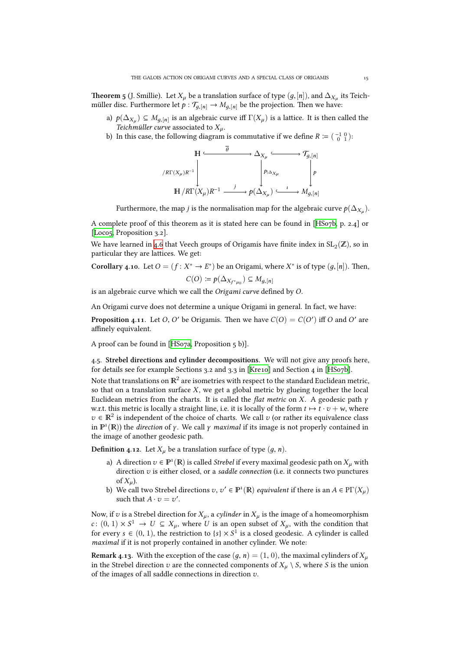**Theorem 5** (J. Smillie). Let  $X_\mu$  be a translation surface of type  $(g,[n])$ , and  $\Delta_{X_\mu}$  its Teichmüller disc. Furthermore let  $p : T_{g,[n]} \to M_{g,[n]}$  be the projection. Then we have:

- a)  $p(\Delta_{X_\mu}) \subseteq M_{g,[n]}$  is an algebraic curve iff  $\Gamma(X_\mu)$  is a lattice. It is then called the *Teichmüller curve* associated to  $X_\mu$ .
- b) In this case, the following diagram is commutative if we define  $R := \begin{pmatrix} -1 & 0 \\ 0 & 1 \end{pmatrix}$ :

$$
\begin{array}{ccc}\n\mathbb{H} & \xrightarrow{\theta} & \Delta_{X_{\mu}} & \xrightarrow{\phi} & \mathcal{T}_{g,[n]} \\
\downarrow^{\beta} & & \downarrow^{\beta} & \downarrow^{\beta} \\
\mathbb{H} & & \downarrow^{\beta} & \downarrow^{\beta} \\
\mathbb{H} & & \downarrow^{\beta} & \downarrow^{\beta} \\
\mathbb{H} & & \downarrow^{\beta} & \downarrow^{\beta} \\
\mathbb{H} & & \downarrow^{\beta} & \downarrow^{\beta} \\
\mathbb{H} & & \downarrow^{\beta} & \downarrow^{\beta} \\
\mathbb{H} & & \downarrow^{\beta} & \downarrow^{\beta} \\
\mathbb{H} & & \downarrow^{\beta} & \downarrow^{\beta} & \downarrow^{\beta} \\
\mathbb{H} & & \downarrow^{\beta} & \downarrow^{\beta} & \downarrow^{\beta} \\
\mathbb{H} & & \downarrow^{\beta} & \downarrow^{\beta} & \downarrow^{\beta} \\
\mathbb{H} & & \downarrow^{\beta} & \downarrow^{\beta} & \downarrow^{\beta} \\
\mathbb{H} & & \downarrow^{\beta} & \downarrow^{\beta} & \downarrow^{\beta} & \downarrow^{\beta} \\
\mathbb{H} & & \downarrow^{\beta} & \downarrow^{\beta} & \downarrow^{\beta} & \downarrow^{\beta} & \downarrow^{\beta} \\
\mathbb{H} & & \downarrow^{\beta} & \downarrow^{\beta} & \downarrow^{\beta} & \downarrow^{\beta} & \downarrow^{\beta} \\
\mathbb{H} & & \downarrow^{\beta} & \downarrow^{\beta} & \downarrow^{\beta} & \downarrow^{\beta} & \downarrow^{\beta} \\
\mathbb{H} & & \downarrow^{\beta} & \downarrow^{\beta} & \downarrow^{\beta} & \downarrow^{\beta} & \downarrow^{\beta} \\
\mathbb{H} & & \downarrow^{\beta} & \downarrow^{\beta} & \downarrow^{\beta} & \
$$

Furthermore, the map *j* is the normalisation map for the algebraic curve  $p(\Delta_{X_\mu}).$ 

A complete proof of this theorem as it is stated here can be found in [HSo7b, p. 2.4] or [Loco5, Proposition 3.2].

We have learned in 4.6 that Veech groups of Origamis have finite index in  $\operatorname{SL}_2(\mathbb{Z})$ , so in particular they are lattices. We get:

**[Corolla](#page-37-9)ry** 4.10. Let  $O = (f : X^* \to E^*)$  be an Origami, where  $X^*$  is of t[ype](#page-37-13)  $(g, [n])$ . Then,

$$
C(O) \coloneqq p(\Delta_{X_{f^*\mu_0}}) \subseteq M_{g,[n]}
$$

is an algebraic curve which we call the *Origami curve* defined by *O*.

An Origami curve does not determine a unique Origami in general. In fact, we have:

**Proposition 4.11.** Let *O*, *O'* be Origamis. Then we have  $C(O) = C(O')$  iff *O* and *O'* are affinely equivalent.

A proof can be found in  $[HSo7a,$  Proposition  $5 b$ ].

4.5. Strebel directions and cylinder decompositions. We will not give any proofs here, for details see for example Sections 3.2 and 3.3 in [Kre10] and Section 4 in [HSo7b].

Note that translations on  $\mathbb{R}^2$  [are](#page-37-14) isometries with respect to the standard Euclidean metric, so that on a translation surface *X*, we get a global metric by glueing together the local Euclidean metrics from the charts. It is called the *flat metric* on *X*. A geodesic path *γ* w.r.t. this metric is locally a straight line, i.e. it is l[ocally o](#page-37-15)f the form  $t \mapsto t \cdot v + w$  $t \mapsto t \cdot v + w$  $t \mapsto t \cdot v + w$ , where  $v \in \mathbb{R}^2$  is independent of the choice of charts. We call *v* (or rather its equivalence class in  $\mathbb{P}^1(\mathbb{R})$ ) the *direction* of *γ*. We call *γ maximal* if its image is not properly contained in the image of another geodesic path.

**Definition 4.12.** Let  $X_\mu$  be a translation surface of type  $(g, n)$ .

- a) A direction  $v \in \mathbb{P}^1(\mathbb{R})$  is called *Strebel* if every maximal geodesic path on  $X_\mu$  with direction *v* is either closed, or a *saddle connection* (i.e. it connects two punctures of  $X_u$ ).
- b) We call two Strebel directions  $v, v' \in \mathbb{P}^1(\mathbb{R})$  *equivalent* if there is an  $A \in \mathrm{P}\Gamma(X_\mu)$ such that  $A \cdot v = v'$ .

Now, if *v* is a Strebel direction for  $X_\mu$ , a *cylinder* in  $X_\mu$  is the image of a homeomorphism *c* :  $(0, 1) \times S^1$  → *U* ⊆ *X<sub>µ</sub>*, where *U* is an open subset of *X<sub>µ</sub>*, with the condition that for every  $s \in (0, 1)$ , the restriction to  $\{s\} \times S^1$  is a closed geodesic. A cylinder is called *maximal* if it is not properly contained in another cylinder. We note:

**Remark 4.13.** With the exception of the case  $(q, n) = (1, 0)$ , the maximal cylinders of  $X_\mu$ in the Strebel direction  $v$  are the connected components of  $X_\mu \setminus S$ , where  $S$  is the union of the images of all saddle connections in direction *v*.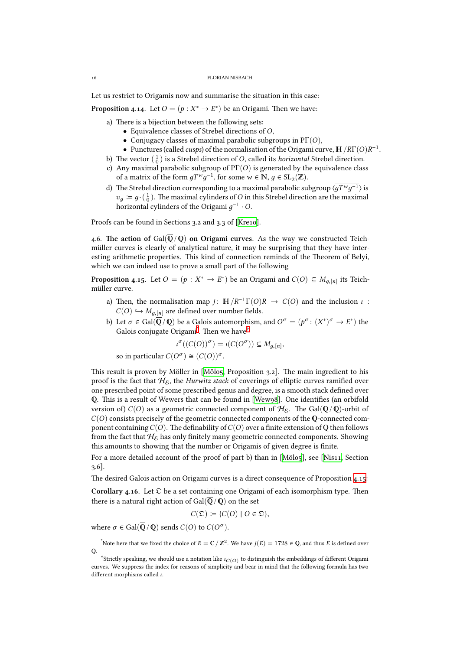Let us restrict to Origamis now and summarise the situation in this case:

**Proposition 4.14.** Let  $O = (p : X^* \to E^*)$  be an Origami. Then we have:

- a) There is a bijection between the following sets:
	- Equivalence classes of Strebel directions of *O*,
	- Conjugacy classes of maximal parabolic subgroups in PΓ(*O*),
	- Punctures (called *cusps*) of the normalisation of the Origami curve,  $H / R \Gamma( O ) R^{-1}$ .
- <span id="page-15-4"></span>b) The vector  $\begin{pmatrix} 1 \\ 0 \end{pmatrix}$  is a Strebel direction of *O*, called its *horizontal* Strebel direction.
- c) Any maximal parabolic subgroup of PΓ(*O*) is generated by the equivalence class of a matrix of the form  $gT^wg^{-1}$ , for some  $w \in \mathbb{N}, g \in SL_2(\mathbb{Z})$ .
- d) The Strebel direction corresponding to a maximal parabolic subgroup  $\langle qT^{\mathbf{w}}q^{-1} \rangle$  is  $v_g \coloneqq g \cdot (\frac{1}{0})$ . The maximal cylinders of *O* in this Strebel direction are the maximal horizontal cylinders of the Origami  $g^{-1}\cdot O.$

Proofs can be found in Sections 3.2 and 3.3 of [Kre10].

4.6. The action of  $Gal(\overline{\mathbb{Q}}/\mathbb{Q})$  on Origami curves. As the way we constructed Teichmüller curves is clearly of analytical nature, it may be surprising that they have interesting arithmetic properties. This kind of con[nectio](#page-37-15)n reminds of the Theorem of Belyi, which we can indeed use to prove a small part of the following

**Proposition 4.15.** Let  $O = (p : X^* \to E^*)$  be an Origami and  $C(O) \subseteq M_{g,[n]}$  its Teichmüller curve.

- a) Then, the normalisation map *j*:  $\mathbb{H}/R^{-1}\Gamma(O)R \rightarrow C(O)$  and the inclusion *ι* :  $C(O) \hookrightarrow M_{q,[n]}$  are defined over number fields.
- <span id="page-15-3"></span>b) Let  $\sigma \in \text{Gal}(\overline{\mathbb{Q}} \setminus \mathbb{Q})$  be a Galois automorphism, and  $O^{\sigma} = (p^{\sigma} \colon (X^*)^{\sigma} \to E^*)$  the Galois conjugate Origami $\degree$ . Then we have $^\dagger$

$$
\iota^{\sigma}((C(O))^{\sigma}) = \iota(C(O^{\sigma})) \subseteq M_{g,[n]},
$$
 so in particular  $C(O^{\sigma}) \cong (C(O))^{\sigma}$ .

This result is prove[n](#page-15-0) by Möller in  $[M\ddot{\text{o}}\text{lo}_5,$  Propo[si](#page-15-1)tion 3.2]. The main ingredient to his proof is the fact that  $\mathcal{H}_{\mathcal{E}}$ , the *Hurwitz stack* of coverings of elliptic curves ramified over one prescribed point of some prescribed genus and degree, is a smooth stack defined over Q. This is a result of Wewers that can be found in [Wew98]. One identifies (an orbifold version of)  $C(O)$  as a geometric co[nnecte](#page-37-0)d component of  $\mathcal{H}_{\mathcal{E}}$ . The Gal( $\overline{Q}/\overline{Q}$ )-orbit of  $C(O)$  consists precisely of the geometric connected components of the Q-connected component containing  $C(O)$ . The definability of  $C(O)$  over a finite extension of Q then follows from the fact that  $H_{\epsilon}$  has only finitely many geomet[ric conn](#page-37-16)ected components. Showing this amounts to showing that the number or Origamis of given degree is finite.

For a more detailed account of the proof of part b) than in [Mölo5], see [Nis11, Section  $3.6$ ].

The desired Galois action on Origami curves is a direct consequence of Proposition 4.15:

**Corollary 4.16.** Let  $\mathcal{D}$  be a set containing one Origami of ea[ch isom](#page-37-0)orphi[sm typ](#page-37-2)e. Then there is a natural right action of Gal( $\overline{Q}/Q$ ) on the set

$$
C(\mathfrak{D}) \coloneqq \{C(O) \mid O \in \mathfrak{D}\},\
$$

<span id="page-15-2"></span>where  $\sigma \in \text{Gal}(\overline{\mathbb{Q}}/\mathbb{Q})$  sends  $C(O)$  to  $C(O^{\sigma}).$ 

\*Note here that we fixed the choice of  $E = \mathbb{C}/\mathbb{Z}^2$ . We have  $j(E) = 1728 \in \mathbb{Q}$ , and thus *E* is defined over Q.

<span id="page-15-1"></span><span id="page-15-0"></span><sup>&</sup>lt;sup>†</sup>Strictly speaking, we should use a notation like *ι*<sub>*C*(*O*)</sub> to distinguish the embeddings of different Origami curves. We suppress the index for reasons of simplicity and bear in mind that the following formula has two different morphisms called *ι*.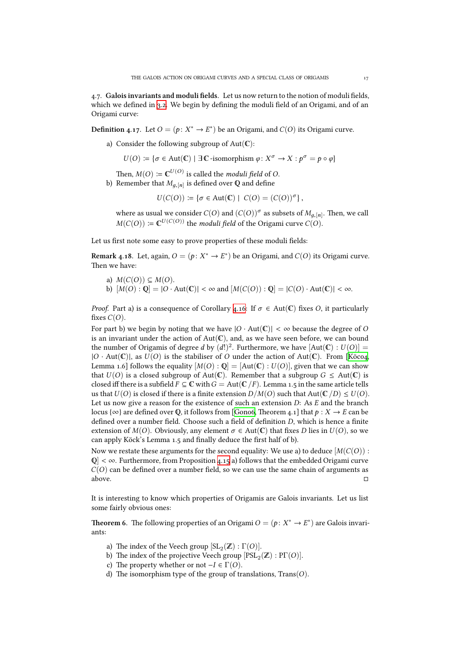.. **Galois invariants and moduli fields.** Let us now return to the notion of moduli fields, which we defined in 3.2. We begin by defining the moduli field of an Origami, and of an Origami curve:

**Definition 4.17.** Let  $O = (p: X^* \to E^*)$  be an Origami, and  $C(O)$  its Origami curve.

a) Consider the [fol](#page-6-0)lowing subgroup of  $Aut(\mathbb{C})$ :

 $U(O) := \{ \sigma \in Aut(\mathbb{C}) \mid \exists \mathbb{C} \text{-isomorphism } \varphi \colon X^{\sigma} \to X : p^{\sigma} = p \circ \varphi \}$ 

Then,  $M(O) \coloneqq \mathbb{C}^{U(O)}$  is called the *moduli field* of  $O$ .

b) Remember that  $M_{g,[n]}$  is defined over **Q** and define

 $U(C(O)) \coloneqq \{ \sigma \in Aut(\mathbb{C}) \mid C(O) = (C(O))^{\sigma} \},$ 

where as usual we consider  $C(O)$  and  $(C(O))^{\sigma}$  as subsets of  $M_{g,[n]}$ . Then, we call  $M(C(O)) \coloneqq \mathbb{C}^{U(C(O))}$  the *moduli field* of the Origami curve  $C(O)$ .

Let us first note some easy to prove properties of these moduli fields:

**Remark 4.18.** Let, again,  $O = (p: X^* \to E^*)$  be an Origami, and  $C(O)$  its Origami curve. Then we have:

a)  $M(C(O)) \subseteq M(O)$ . b)  $[M(O): \mathbb{Q}] = |O \cdot \text{Aut}(\mathbb{C})| < \infty$  and  $[M(C(O)): \mathbb{Q}] = |C(O) \cdot \text{Aut}(\mathbb{C})| < \infty$ .

<span id="page-16-0"></span>*Proof.* Part a) is a consequence of Corollary 4.16: If  $\sigma \in Aut(\mathbb{C})$  fixes *O*, it particularly fixes  $C(O)$ .

For part b) we begin by noting that we have  $|O \cdot Aut(C)| < \infty$  because the degree of *O* is an invariant under the action of  $Aut(\mathbb{C})$ , and, as we have seen before, we can bound the number of Origamis of degree *d* by  $(d!)^2$ [. Fur](#page-15-2)thermore, we have  $[Aut(\mathbb{C}) : U(O)] =$  $|O \cdot Aut(C)|$ , as  $U(O)$  is the stabiliser of *O* under the action of Aut(C). From [Köco4, Lemma 1.6] follows the equality  $[M(O) : Q] = [Aut(\mathbb{C}) : U(O)]$ , given that we can show that  $U(O)$  is a closed subgroup of Aut( $\mathbb{C}$ ). Remember that a subgroup  $G \leq Aut(\mathbb{C})$  is closed iff there is a subfield  $F \subseteq \mathbb{C}$  with  $G = \text{Aut}(\mathbb{C}/F)$ . Lemma 1.5 in the same article tells us that  $U(O)$  $U(O)$  $U(O)$  is closed if there is a finite extension  $D/M(O)$  such that  $Aut(C/D) \leq U(O)$ . Let us now give a reason for the existence of such an extension *D*: As *E* and the branch locus { $\infty$ } are defined over Q, it follows from [Gono6, Theorem 4.1] that  $p : X \to E$  can be defined over a number field. Choose such a field of definition *D*, which is hence a finite extension of  $M(O)$ . Obviously, any element  $\sigma \in Aut(\mathbb{C})$  that fixes *D* lies in  $U(O)$ , so we can apply Köck's Lemma 1.5 and finally deduce the first half of b).

Now we restate these arguments for the seco[nd equa](#page-36-3)lity: We use a) to deduce  $M(C(O))$ :  $\mathbb{Q}<\infty$ . Furthermore, from Proposition 4.15 a) follows that the embedded Origami curve  $C(O)$  can be defined over a number field, so we can use the same chain of arguments as above.  $\Box$ 

It is interesting to know which propert[ies o](#page-15-3)f Origamis are Galois invariants. Let us list some fairly obvious ones:

**Theorem 6.** The following properties of an Origami  $O = (p: X^* \to E^*)$  are Galois invariants:

- a) The index of the Veech group  $[\text{SL}_2(\mathbb{Z}) : \Gamma(O)].$
- <span id="page-16-1"></span>b) The index of the projective Veech group  $[{\rm PSL}_2(\mathbb{Z}) : {\rm PT} (O)].$
- c) The property whether or not  $-I \in \Gamma(O)$ .
- d) The isomorphism type of the group of translations, Trans(O).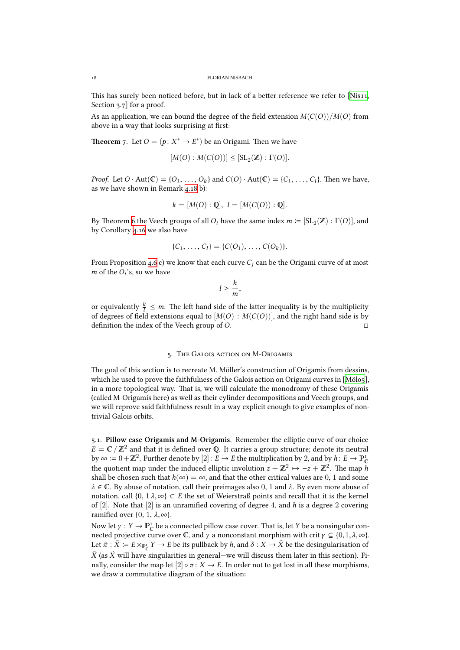This has surely been noticed before, but in lack of a better reference we refer to [Nis11, Section  $3.7$  for a proof.

As an application, we can bound the degree of the field extension  $M(C(O))/M(O)$  from above in a way that looks surprising at first:

**Theorem** 7. Let  $O = (p: X^* \to E^*)$  be an Origami. Then we have

$$
[M(O):M(C(O))] \leq [\operatorname{SL}_2(\mathbb{Z}) : \Gamma(O)].
$$

*Proof.* Let  $O \cdot Aut(\mathbb{C}) = \{O_1, \ldots, O_k\}$  and  $C(O) \cdot Aut(\mathbb{C}) = \{C_1, \ldots, C_l\}$ . Then we have, as we have shown in Remark 4.18 b):

$$
k = [M(O) : Q], l = [M(C(O)) : Q].
$$

By Theorem 6 the Veech grou[ps of](#page-16-0) all  $O_i$  have the same index  $m \coloneqq [\operatorname{SL}_2(\mathbb{Z}) : \Gamma(O)]$ , and by Corollary 4.16 we also have

$$
\{C_1, \ldots, C_l\} = \{C(O_1), \ldots, C(O_k)\}.
$$

From Propo[sit](#page-16-1)ion 4.6 c) we know that each curve  $C_i$  can be the Origami curve of at most *m* of the  $O_i$ 's[, so w](#page-15-2)e have

$$
l\geq \frac{k}{m},
$$

or equivalently  $\frac{k}{l} \leq m$ . The left hand side of the latter inequality is by the multiplicity of degrees of field extensions equal to  $[M(O): M(C(O))]$ , and the right hand side is by definition the index of the Veech group of *O*. □

#### 5. THE GALOIS ACTION ON M-ORIGAMIS

The goal of this section is to recreate M. Möller's construction of Origamis from dessins, which he used to prove the faithfulness of the Galois action on Origami curves in [Mölo5], in a more topological way. That is, we will calculate the monodromy of these Origamis (called M-Origamis here) as well as their cylinder decompositions and Veech groups, and we will reprove said faithfulness result in a way explicit enough to give examples of nontrivial Galois orbits.

.. **Pillow case Origamis and M-Origamis.** Remember the elliptic curve of our choice  $E = \mathbb{C} \, / \, \mathbb{Z}^2$  and that it is defined over **Q**. It carries a group structure; denote its neutral by  $\infty := 0 + \mathbb{Z}^2$ . Further denote by  $[2] : E \to E$  the multiplication by 2, and by  $h : E \to \mathbb{P}^1_{\mathbb{C}}$ the quotient map under the induced elliptic involution  $z + \mathbb{Z}^2 \mapsto -z + \mathbb{Z}^2$ . The map *h* shall be chosen such that  $h(\infty) = \infty$ , and that the other critical values are 0, 1 and some  $\lambda \in \mathbb{C}$ . By abuse of notation, call their preimages also 0, 1 and  $\lambda$ . By even more abuse of notation, call  $\{0, 1\lambda, \infty\} \subset E$  the set of Weierstraß points and recall that it is the kernel of [2]. Note that [2] is an unramified covering of degree 4, and *h* is a degree 2 covering ramified over  $\{0, 1, \lambda, \infty\}$ .

Now let  $\gamma: Y \to \mathbb{P}^1_{\mathbb{C}}$  be a connected pillow case cover. That is, let *Y* be a nonsingular connected projective curve over  $\mathbb{C}$ , and *γ* a nonconstant morphism with crit  $\gamma \subseteq \{0, 1, \lambda, \infty\}$ . Let  $\tilde{\pi}$  :  $\tilde{X} \coloneqq E \times_{\mathbb{P}^1_{\mathbb{C}}} Y \to E$  be its pullback by *h*, and  $\delta : X \to \tilde{X}$  be the desingularisation of  $\bar{X}$  (as  $\bar{X}$  will have singularities in general—we will discuss them later in this section). Finally, consider the map let  $[2] \circ \pi : X \to E$ . In order not to get lost in all these morphisms, we draw a commutative diagram of the situation: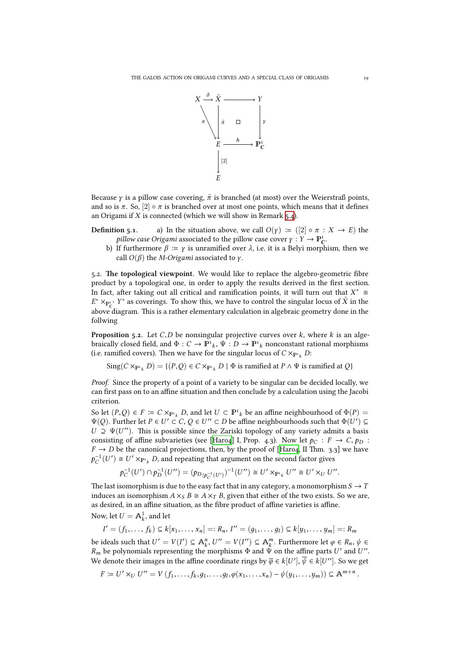

Because *γ* is a pillow case covering, *π*˜ is branched (at most) over the Weierstraß points, and so is  $\pi$ . So,  $[2] \circ \pi$  is branched over at most one points, which means that it defines an Origami if  $X$  is connected (which we will show in Remark  $5.4$ ).

- **Definition 5.1.** a) In the situation above, we call  $O(y) := ([2] \circ \pi : X \to E)$  the *pillow case Origami* associated to the pillow case cover  $\gamma: Y \to \mathbb{P}_{\mathbb{C}}^1$ .
	- b) If furthermore  $β := γ$  is unramified over  $λ$ , i.e. it is [a Be](#page-22-0)lyi morphism, then we call  $O(\beta)$  the *M-Origami* associated to *γ*.

.. **e topological viewpoint.** We would like to replace the algebro-geometric fibre product by a topological one, in order to apply the results derived in the first section. In fact, after taking out all critical and ramification points, it will turn out that  $X^* \cong$  $E^* \times_{P_C^*} Y^*$  as coverings. To show this, we have to control the singular locus of  $\tilde{X}$  in the above diagram. This is a rather elementary calculation in algebraic geometry done in the follwing

**Proposition 5.2.** Let  $C, D$  be nonsingular projective curves over  $k$ , where  $k$  is an algebraically closed field, and  $\Phi: C \to \mathbb{P}^1{}_k$ ,  $\Psi: D \to \mathbb{P}^1{}_k$  nonconstant rational morphisms (i.e. ramified covers). Then we have for the singular locus of  $C \times_{\mathbb{P}^1_k} D$ :

 $\text{Sing}(C \times_{\mathbb{P}^1_k} D) = \{(P, Q) \in C \times_{\mathbb{P}^1_k} D \mid \Phi \text{ is ramified at } P \land \Psi \text{ is ramified at } Q\}$ 

*Proof.* Since the property of a point of a variety to be singular can be decided locally, we can first pass on to an affine situation and then conclude by a calculation using the Jacobi criterion.

So let  $(P,Q) \in F := C \times_{P^1_k} D$ , and let  $U \subset P^1_k$  be an affine neighbourhood of  $\Phi(P) =$  $\Psi(Q)$ . Further let  $P \in U' \subset C$ ,  $Q \in U'' \subset D$  be affine neighbourhoods such that  $\Phi(U') \subseteq$  $U \supseteq \Psi(U'')$ . This is possible since the Zariski topology of any variety admits a basis consisting of affine subvarieties (see [Haro4] I, Prop. 4.3). Now let  $p_C : F \to C$ ,  $p_D :$  $F \rightarrow D$  be the canonical projections, then, by the proof of [Haro4, II Thm. 3.3] we have  $p_C^{-1}(U')$  ≅  $U' \times_{P^1_k} D$ , and repeating that argument on the second factor gives

$$
p_C^{-1}(U') \cap p_D^{-1}(U'') = (p_{D|p_C^{-1}(U')})^{-1}(U'') \cong U' \times_{\mathbb{P}^1_k} U'' \cong U' \times_U U''.
$$

The last isomorphism is due to the easy fact that in any categ[ory, a m](#page-36-4)onomorphism  $S \to T$ induces an isomorphism  $A \times_S B \cong A \times_T B$ , given that either of the two exists. So we are, as desired, in an affine situation, as the fibre product of affine varieties is affine.

Now, let  $U = \mathbb{A}^1_k$ , and let

 $I' = (f_1, \ldots, f_k) \subseteq k[x_1, \ldots, x_n] =: R_n, I'' = (g_1, \ldots, g_l) \subseteq k[y_1, \ldots, y_m] =: R_m$ 

be ideals such that  $U' = V(I') \subseteq \mathbb{A}_k^n$ ,  $U'' = V(I'') \subseteq \mathbb{A}_k^m$ . Furthermore let  $\varphi \in R_n$ ,  $\psi \in$ *R<sub>m</sub>* be polynomials representing the morphisms  $\Phi$  and  $\hat{\Psi}$  on the affine parts *U'* and *U''*. We denote their images in the affine coordinate rings by  $\overline{\phi}\in k[U'], \overline{\psi}\in k[U'']$ . So we get

 $F \coloneqq U' \times_U U'' = V(f_1, \ldots, f_k, g_1, \ldots, g_l, \varphi(x_1, \ldots, x_n) - \psi(y_1, \ldots, y_m)) \subseteq \mathbb{A}^{m+n}.$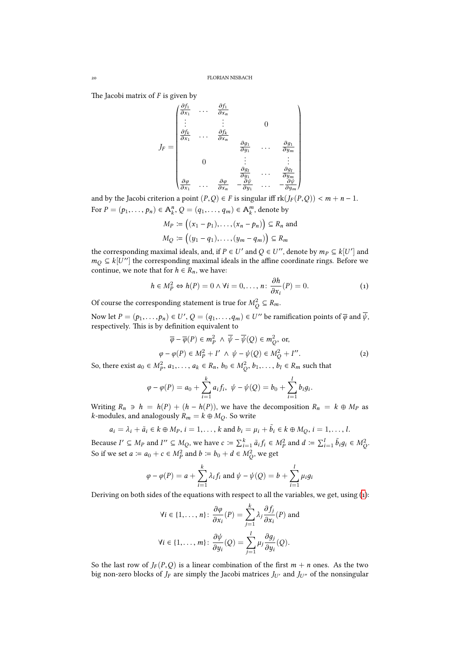The Jacobi matrix of  $F$  is given by

$$
J_F = \begin{pmatrix} \frac{\partial f_1}{\partial x_1} & \cdots & \frac{\partial f_1}{\partial x_n} \\ \vdots & \vdots & & 0 \\ \frac{\partial f_k}{\partial x_1} & \cdots & \frac{\partial f_k}{\partial x_n} & & 0 \\ 0 & & \vdots & & \vdots \\ 0 & & & \frac{\partial g_1}{\partial y_1} & \cdots & \frac{\partial g_1}{\partial y_m} \\ 0 & & & \vdots & & \vdots \\ \frac{\partial g_l}{\partial x_1} & \cdots & \frac{\partial g_l}{\partial y_n} & \cdots & \frac{\partial g_l}{\partial y_m} \end{pmatrix}
$$

and by the Jacobi criterion a point  $(P,Q) \in F$  is singular iff  $rk(J_F(P,Q)) < m + n - 1$ . For  $P = (p_1, \ldots, p_n) \in \mathbb{A}_k^n$ ,  $Q = (q_1, \ldots, q_m) \in \mathbb{A}_k^m$ , denote by

$$
M_P := ((x_1 - p_1), \dots, (x_n - p_n)) \subseteq R_n
$$
 and  

$$
M_Q := ((y_1 - q_1), \dots, (y_m - q_m)) \subseteq R_m
$$

the corresponding maximal ideals, and, if  $P \in U'$  and  $Q \in U''$ , denote by  $m_P \subseteq k[U']$  and *m*<sub>*Q*</sub> ⊆ *k*[*U*<sup>''</sup>] the corresponding maximal ideals in the affine coordinate rings. Before we continue, we note that for  $h \in R_n$ , we have:

$$
h \in M_P^2 \Leftrightarrow h(P) = 0 \wedge \forall i = 0, \dots, n \colon \frac{\partial h}{\partial x_i}(P) = 0.
$$
 (1)

Of course the corresponding statement is true for  $M_Q^2 \subseteq R_m$ .

Now let  $P=(p_1,\ldots,p_n)\in U',$   $Q=(q_1,\ldots,q_m)\in U''$  be ramification points of  $\overline{\phi}$  and  $\overline{\psi},$ respectively. This is by definition equivalent to

<span id="page-19-0"></span>
$$
\overline{\varphi} - \overline{\varphi}(P) \in m_P^2 \land \overline{\psi} - \overline{\psi}(Q) \in m_Q^2, \text{ or,}
$$
  

$$
\varphi - \varphi(P) \in M_P^2 + I' \land \psi - \psi(Q) \in M_Q^2 + I''.
$$
 (2)

So, there exist *a*<sup>0</sup> ∈ *M*<sup>2</sup><sub>*P*</sub>, *a*<sub>1</sub>,..., *a*<sub>*k*</sub> ∈ *R*<sub>*n*</sub>, *b*<sub>0</sub> ∈ *M*<sup>2</sup><sub>*Q*</sub>, *b*<sub>1</sub>,..., *b*<sub>*l*</sub> ∈ *R*<sub>*m*</sub> such that

<span id="page-19-1"></span>
$$
\varphi - \varphi(P) = a_0 + \sum_{i=1}^k a_i f_i, \ \psi - \psi(Q) = b_0 + \sum_{i=1}^l b_i g_i.
$$

Writing  $R_n \ni h = h(P) + (h - h(P))$ , we have the decomposition  $R_n = k \oplus M_P$  as *k*-modules, and analogously  $R_m = k \oplus M_Q$ . So write

$$
a_i = \lambda_i + \tilde{a}_i \in k \oplus M_P
$$
,  $i = 1, ..., k$  and  $b_i = \mu_i + \tilde{b}_i \in k \oplus M_Q$ ,  $i = 1, ..., l$ .

Because  $I' \subseteq M_P$  and  $I'' \subseteq M_Q$ , we have  $c := \sum_{i=1}^k \tilde{a}_i f_i \in M_P^2$  and  $d := \sum_{i=1}^l \tilde{b}_i g_i \in M_Q^2$ . So if we set  $a \coloneqq a_0 + c \in M_P^2$  and  $b \coloneqq b_0 + d \in M_Q^2$ , we get

$$
\varphi - \varphi(P) = a + \sum_{i=1}^{k} \lambda_i f_i
$$
 and  $\psi - \psi(Q) = b + \sum_{i=1}^{l} \mu_i g_i$ 

Deriving on both sides of the equations with respect to all the variables, we get, using ():

$$
\forall i \in \{1, ..., n\} \colon \frac{\partial \varphi}{\partial x_i}(P) = \sum_{j=1}^k \lambda_j \frac{\partial f_j}{\partial x_i}(P) \text{ and}
$$

$$
\forall i \in \{1, ..., m\} \colon \frac{\partial \psi}{\partial y_i}(Q) = \sum_{j=1}^l \mu_j \frac{\partial g_j}{\partial y_i}(Q).
$$

So the last row of  $J_F(P,Q)$  is a linear combination of the first  $m + n$  ones. As the two big non-zero blocks of  $J_F$  are simply the Jacobi matrices  $J_{U'}$  and  $J_{U''}$  of the nonsingular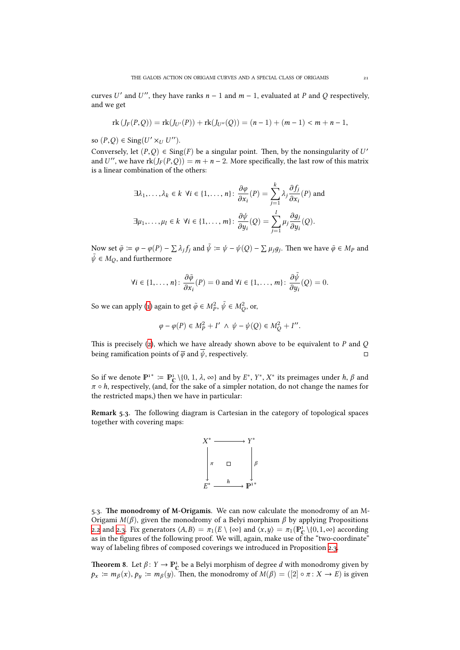curves *U'* and *U''*, they have ranks  $n - 1$  and  $m - 1$ , evaluated at *P* and *Q* respectively, and we get

$$
rk(J_F(P,Q)) = rk(J_{U'}(P)) + rk(J_{U''}(Q)) = (n-1) + (m-1) < m+n-1,
$$

so  $(P, Q) \in$  Sing(*U'* ×*<sub>U</sub> U''*).

Conversely, let  $(P,Q) \in Sing(F)$  be a singular point. Then, by the nonsingularity of *U'* and *U*'', we have  $rk(J_F(P,Q)) = m + n - 2$ . More specifically, the last row of this matrix is a linear combination of the others:

$$
\exists \lambda_1, \dots, \lambda_k \in k \ \forall i \in \{1, \dots, n\} \colon \frac{\partial \varphi}{\partial x_i}(P) = \sum_{j=1}^k \lambda_j \frac{\partial f_j}{\partial x_i}(P) \text{ and}
$$

$$
\exists \mu_1, \dots, \mu_l \in k \ \forall i \in \{1, \dots, m\} \colon \frac{\partial \psi}{\partial y_i}(Q) = \sum_{j=1}^l \mu_j \frac{\partial g_j}{\partial y_i}(Q).
$$

Now set  $\tilde{\varphi} \coloneqq \varphi - \varphi(P) - \sum \lambda_j f_j$  and  $\tilde{\psi} \coloneqq \psi - \psi(Q) - \sum \mu_j g_j$ . Then we have  $\tilde{\varphi} \in M_P$  and  $\tilde{\psi} \in M_Q$  , and furthermore

$$
\forall i \in \{1,\ldots,n\} \colon \frac{\partial \tilde{\phi}}{\partial x_i}(P) = 0 \text{ and } \forall i \in \{1,\ldots,m\} \colon \frac{\partial \tilde{\psi}}{\partial y_i}(Q) = 0.
$$

So we can apply (1) again to get  $\tilde{\varphi} \in M_P^2$ ,  $\tilde{\psi} \in M_Q^2$ , or,

$$
\varphi - \varphi(P) \in M_P^2 + I' \land \psi - \psi(Q) \in M_Q^2 + I''.
$$

This is precisely [\(](#page-19-0)2), which we have already shown above to be equivalent to  $P$  and  $Q$ being ramification points of  $\overline{\varphi}$  and  $\overline{\psi}$ , respectively.

So if we denote  $\mathbb{P}^1^* := \mathbb{P}^1_{\mathbb{C}} \setminus \{0, 1, \lambda, \infty\}$  and by  $E^*, Y^*, X^*$  its preimages under  $h, \beta$  and *π* ◦ *h*, respectivel[y,](#page-19-1) (and, for the sake of a simpler notation, do not change the names for the restricted maps,) then we have in particular:

**Remark 5.3.** The following diagram is Cartesian in the category of topological spaces together with covering maps:



.. **e monodromy of M-Origamis.** We can now calculate the monodromy of an M-Origami *M*(*β*), given the monodromy of a Belyi morphism *β* by applying Propositions 2.2 and 2.3. Fix generators  $\langle A, B \rangle = \pi_1(E \setminus {\infty})$  and  $\langle x, y \rangle = \pi_1(\mathbb{P}^1_{\mathbb{C}} \setminus {\{0,1,\infty\}})$  according as in the figures of the following proof. We will, again, make use of the "two-coordinate" way of labeling fibres of composed coverings we introduced in Proposition 2.3.

<span id="page-20-0"></span>**Th[e](#page-2-0)ore[m](#page-3-0) 8.** Let  $\beta: Y \to \mathbb{P}_{\mathbb{C}}^1$  be a Belyi morphism of degree *d* with monodromy given by  $p_x := m_\beta(x), p_y := m_\beta(y)$ . Then, the monodromy of  $M(\beta) = ([2] \circ \pi : X \to E)$  is given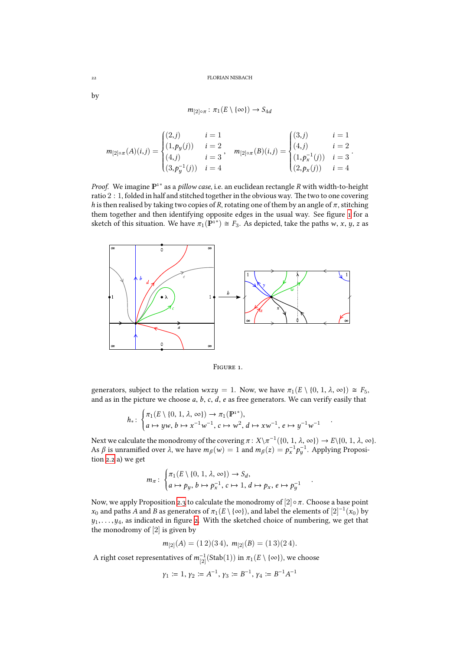$$
m_{[2]\circ\pi} : \pi_1(E \setminus {\{\infty\}}) \to S_{4d}
$$

$$
m_{[2]\circ\pi}(A)(i,j) = \begin{cases} (2,j) & i = 1 \\ (1,p_y(j)) & i = 2 \\ (4,j) & i = 3 \\ (3,p_y^{-1}(j)) & i = 4 \end{cases}, \quad m_{[2]\circ\pi}(B)(i,j) = \begin{cases} (3,j) & i = 1 \\ (4,j) & i = 2 \\ (1,p_x^{-1}(j)) & i = 3 \\ (2,p_x(j)) & i = 4 \end{cases}.
$$

*Proof.* We imagine  $\mathbb{P}^{1*}$  as a *pillow case*, i.e. an euclidean rectangle *R* with width-to-height ratio  $2:1$ , folded in half and stitched together in the obvious way. The two to one covering *h* is then realised by taking two copies of *R*, rotating one of them by an angle of  $\pi$ , stitching them together and then identifying opposite edges in the usual way. See figure 1 for a sketch of this situation. We have  $\pi_1(\mathbf{P}^{1*}) \cong F_3$ . As depicted, take the paths *w*, *x*, *y*, *z* as



<span id="page-21-0"></span>FIGURE 1.

generators, subject to the relation  $wxyzy = 1$ . Now, we have  $\pi_1(E \setminus \{0, 1, \lambda, \infty\}) \cong F_5$ , and as in the picture we choose *a*, *b*, *c*, *d*, *e* as free generators. We can verify easily that

$$
h_*\colon \begin{cases} \pi_1(E \setminus \{0, 1, \lambda, \infty\}) \to \pi_1(\mathbb{P}^{1*}), \\ a \mapsto yw, b \mapsto x^{-1}w^{-1}, c \mapsto w^2, d \mapsto xw^{-1}, e \mapsto y^{-1}w^{-1} \end{cases}
$$

Next we calculate the monodromy of the covering  $\pi$  :  $X\setminus \pi^{-1}(\{0, 1, \lambda, \infty\}) \to E\setminus \{0, 1, \lambda, \infty\}.$ As  $\beta$  is unramified over  $\lambda$ , we have  $m_{\beta}(w) = 1$  and  $m_{\beta}(z) = p_x^{-1} p_y^{-1}$ . Applying Proposition 2.2 a) we get

.

.

$$
m_{\pi} : \begin{cases} \pi_1(E \setminus \{0, 1, \lambda, \infty\}) \to S_d, \\ a \mapsto p_y, b \mapsto p_x^{-1}, c \mapsto 1, d \mapsto p_x, e \mapsto p_y^{-1} \end{cases}
$$

No[w, we](#page-2-0) apply Proposition 2.3 to calculate the monodromy of  $[2] \circ \pi$ . Choose a base point *x*<sub>0</sub> and paths *A* and *B* as generators of  $\pi_1(E \setminus {\infty})$ , and label the elements of  $[2]^{-1}(x_0)$  by  $y_1, \ldots, y_4$ , as indicated in figure 2. With the sketched choice of numbering, we get that the monodromy of [2] is given by

$$
m_{[2]}(A) = (1\ 2)(3\ 4), m_{[2]}(B) = (1\ 3)(2\ 4).
$$

A right coset representatives of  $m_{[2]}^{-1}(\operatorname{Stab}(1))$  $m_{[2]}^{-1}(\operatorname{Stab}(1))$  in  $\pi_1(E \setminus \{\infty\}),$  we choose

$$
\gamma_1:=1,\, \gamma_2:=A^{-1},\, \gamma_3:=B^{-1},\, \gamma_4:=B^{-1}A^{-1}
$$

by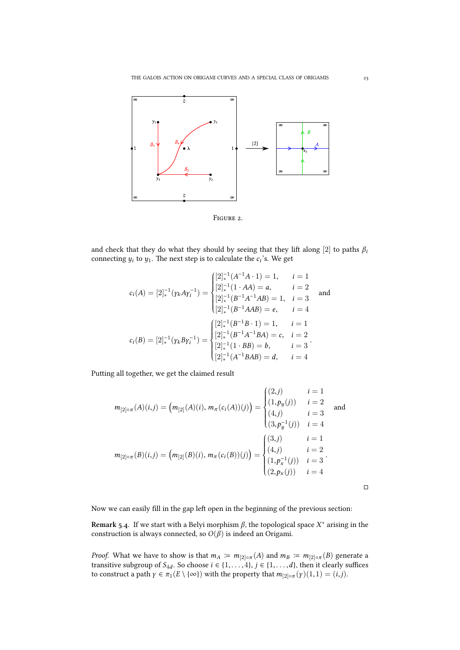

<span id="page-22-1"></span>FIGURE 2.

and check that they do what they should by seeing that they lift along [2] to paths  $\beta_i$ connecting  $y_i$  to  $y_1$ . The next step is to calculate the  $c_i$ 's. We get

$$
c_i(A) = [2]_*^{-1}(\gamma_k A \gamma_i^{-1}) = \begin{cases} [2]_*^{-1}(A^{-1}A \cdot 1) = 1, & i = 1\\ [2]_*^{-1}(1 \cdot AA) = a, & i = 2\\ [2]_*^{-1}(B^{-1}A^{-1}AB) = 1, & i = 3\\ [2]_*^{-1}(B^{-1}AAB) = e, & i = 4 \end{cases}
$$
and  

$$
c_i(B) = [2]_*^{-1}(\gamma_k B \gamma_i^{-1}) = \begin{cases} [2]_*^{-1}(B^{-1}B \cdot 1) = 1, & i = 1\\ [2]_*^{-1}(B^{-1}A^{-1}BA) = c, & i = 2\\ [2]_*^{-1}(1 \cdot BB) = b, & i = 3\\ [2]_*^{-1}(A^{-1}BAB) = d, & i = 4 \end{cases}
$$

Putting all together, we get the claimed result

$$
m_{[2]\circ\pi}(A)(i,j) = (m_{[2]}(A)(i), m_{\pi}(c_i(A))(j)) = \begin{cases} (2,j) & i = 1\\ (1, p_y(j)) & i = 2\\ (4,j) & i = 3\\ (3, p_y^{-1}(j)) & i = 4 \end{cases}
$$
 and  

$$
m_{[2]\circ\pi}(B)(i,j) = (m_{[2]}(B)(i), m_{\pi}(c_i(B))(j)) = \begin{cases} (3,j) & i = 1\\ (4,j) & i = 2\\ (1, p_x^{-1}(j)) & i = 3\\ (2, p_x(j)) & i = 4 \end{cases}
$$
.

□

Now we can easily fill in the gap left open in the beginning of the previous section:

<span id="page-22-0"></span>**Remark 5.4.** If we start with a Belyi morphism  $\beta$ , the topological space  $X^*$  arising in the construction is always connected, so  $O(\beta)$  is indeed an Origami.

*Proof.* What we have to show is that  $m_A := m_{[2]\circ \pi}(A)$  and  $m_B := m_{[2]\circ \pi}(B)$  generate a transitive subgroup of  $S_{4d}$ . So choose  $i \in \{1, \ldots, 4\}$ ,  $j \in \{1, \ldots, d\}$ , then it clearly suffices to construct a path  $\gamma \in \pi_1(E \setminus {\infty})$  with the property that  $m_{[2]\circ \pi}(\gamma)(1,1) = (i,j)$ .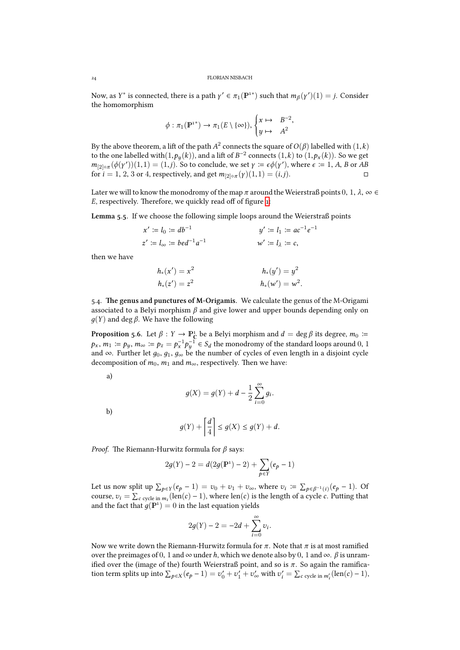Now, as *Y*<sup>\*</sup> is connected, there is a path  $\gamma' \in \pi_1(\mathbb{P}^{1*})$  such that  $m_\beta(\gamma')(1) = j$ . Consider the homomorphism

$$
\phi: \pi_1(\mathbb{P}^{1*}) \to \pi_1(E \setminus {\{\infty\}}), \begin{cases} x \mapsto & B^{-2}, \\ y \mapsto & A^2 \end{cases}
$$

By the above theorem, a lift of the path  $A^2$  connects the square of  $O(\beta)$  labelled with  $(1,k)$ to the one labelled with $(1, p_y(k))$ , and a lift of  $B^{-2}$  connects  $(1, k)$  to  $(1, p_x(k))$ . So we get  $m_{[2]\circ\pi}(\phi(\gamma'))(1,1) = (1,j)$ . So to conclude, we set  $\gamma := \epsilon \phi(\gamma')$ , where  $\epsilon := 1$ , *A*, *B* or *AB* for *i* = 1, 2, 3 or 4, respectively, and get  $m_{[2] \circ \pi}(γ)(1,1) = (i,j)$ . □

Later we will to know the monodromy of the map  $\pi$  around the Weierstraß points  $0, 1, \lambda, \infty \in$ *E*, respectively. Therefore, we quickly read off of figure 1:

Lemma 5.5. If we choose the following simple loops around the Weierstraß points

$$
x' := l_0 := db^{-1}
$$
  
\n
$$
y' := l_1 := ac^{-1}e^{-1}
$$
  
\n
$$
z' := l_{\infty} := bed^{-1}a^{-1}
$$
  
\n
$$
w' := l_{\lambda} := c,
$$

<span id="page-23-0"></span>then we have

$$
h_*(x') = x^2
$$
  
\n
$$
h_*(y') = y^2
$$
  
\n
$$
h_*(y') = y^2
$$
  
\n
$$
h_*(w') = w^2
$$

.. **e genus and punctures of M-Origamis.** We calculate the genus of the M-Origami associated to a Belyi morphism *β* and give lower and upper bounds depending only on *д*(*Y*) and deg *β*. We have the following

**Proposition 5.6.** Let  $\beta: Y \to \mathbb{P}_{\mathbb{C}}^1$  be a Belyi morphism and  $d = \deg \beta$  its degree,  $m_0 \coloneqq$  $p_x$ ,  $m_1 \coloneqq p_y$ ,  $m_\infty \coloneqq p_z = p_x^{-1} p_y^{-1} \in S_d$  the monodromy of the standard loops around  $0, 1$ and  $\infty$ . Further let  $q_0, q_1, q_\infty$  be the number of cycles of even length in a disjoint cycle decomposition of  $m_0$ ,  $m_1$  and  $m_\infty$ , respectively. Then we have:

<span id="page-23-1"></span>a)

$$
g(X) = g(Y) + d - \frac{1}{2} \sum_{i=0}^{\infty} g_i.
$$

b)

$$
g(Y) + \left\lceil \frac{d}{4} \right\rceil \le g(X) \le g(Y) + d.
$$

*Proof.* The Riemann-Hurwitz formula for *β* says:

$$
2g(Y) - 2 = d(2g(\mathbb{P}^1) - 2) + \sum_{p \in Y} (e_p - 1)
$$

Let us now split up  $\sum_{p \in Y} (e_p - 1) = v_0 + v_1 + v_\infty$ , where  $v_i := \sum_{p \in \beta^{-1}(i)} (e_p - 1)$ . Of course,  $v_i = \sum_{c \text{ cycle in } m_i} (\text{len}(c) - 1)$ , where  $\text{len}(c)$  is the length of a cycle *c*. Putting that and the fact that  $g(\mathbb{P}^1) = 0$  in the last equation yields

$$
2g(Y) - 2 = -2d + \sum_{i=0}^{\infty} v_i.
$$

Now we write down the Riemann-Hurwitz formula for  $π$ . Note that  $π$  is at most ramified over the preimages of 0, 1 and  $\infty$  under *h*, which we denote also by 0, 1 and  $\infty$ .  $\beta$  is unramified over the (image of the) fourth Weierstraß point, and so is *π*. So again the ramification term splits up into  $\sum_{p \in X} (e_p - 1) = v'_0 + v'_1 + v'_\infty$  with  $v'_i = \sum_{c \text{ cycle in } m'_i} (\text{len}(c) - 1)$ ,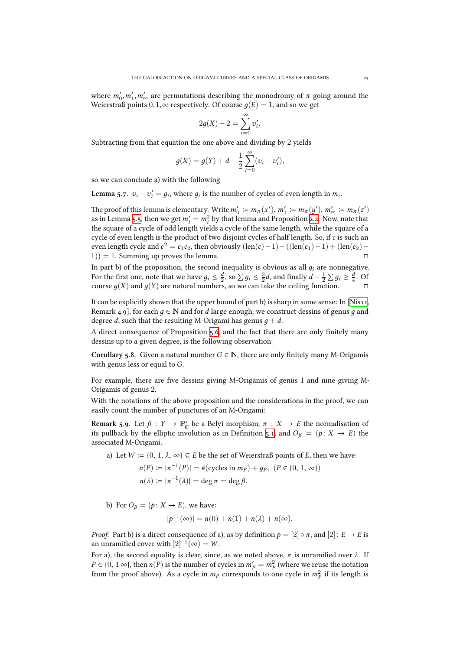where  $m'_0, m'_1, m'_\infty$  are permutations describing the monodromy of  $\pi$  going around the Weierstraß points  $0, 1, \infty$  respectively. Of course  $q(E) = 1$ , and so we get

$$
2g(X) - 2 = \sum_{i=0}^{\infty} v'_i.
$$

Subtracting from that equation the one above and dividing by 2 yields

$$
g(X) = g(Y) + d - \frac{1}{2} \sum_{i=0}^{\infty} (v_i - v'_i),
$$

so we can conclude a) with the following

**Lemma 5.7.**  $v_i - v'_i = g_i$ , where  $g_i$  is the number of cycles of even length in  $m_i$ .

The proof of this lemma is elementary. Write  $m'_0 \coloneqq m_\pi(x'), m'_1 \coloneqq m_\pi(y'), m'_\infty \coloneqq m_\pi(z')$ as in Lemma 5.5, then we get  $m'_i = m_i^2$  by that lemma and Proposition 2.2. Now, note that the square of a cycle of odd length yields a cycle of the same length, while the square of a cycle of even length is the product of two disjoint cycles of half length. So, if*c* is such an even length cycle and  $c^2 = c_1 c_2$ , then obviously  $(\text{len}(c) - 1) - ((\text{len}(c_1) - 1) + (\text{len}(c_2) (1)$ ) = 1. Su[mmin](#page-23-0)g up proves the lemma.  $\Box$ 

In part b) of the proposition, the second inequality is obvious as all  $g_i$  are nonnegative. For the first one, note that we have  $g_i \leq \frac{d}{2}$ , so  $\sum g_i \leq \frac{3}{2}d$ , and finally  $d - \frac{1}{2} \sum g_i \geq \frac{d}{4}$ . Of course  $q(X)$  and  $q(Y)$  are natural numbers, so we can take the ceiling function.  $\Box$ 

It can be explicitly shown that the upper bound of part b) is sharp in some sense: In [Nis11, Remark 4.9, for each  $q \in \mathbb{N}$  and for *d* large enough, we construct dessins of genus *q* and degree *d*, such that the resulting M-Origami has genus  $q + d$ .

A direct consequence of Proposition 5.6, and the fact that there are only finitely many dessins up to a given degree, is the following observation:

**Corollary 5.8.** Given a natural number  $G \in \mathbb{N}$ , there are only finitely many M-Origamis with genus less or equal to *G*.

For example, there are five dessins giving M-Origamis of genus 1 and nine giving M-Origamis of genus 2.

With the notations of the above proposition and the considerations in the proof, we can easily count the number of punctures of an M-Origami:

**Remark 5.9.** Let  $\beta : Y \to \mathbb{P}_{\mathbb{C}}^1$  be a Belyi morphism,  $\pi : X \to E$  the normalisation of its pullback by the elliptic involution as in Definition 5.1, and  $O_\beta = (p: X \rightarrow E)$  the associated M-Origami.

<span id="page-24-0"></span>a) Let  $W \coloneqq \{0, 1, \lambda, \infty\} \subseteq E$  be the set of Weierstraß points of *E*, then we have:

$$
n(P) := |\pi^{-1}(P)| = #(\text{cycles in } m_P) + g_P, \ (P \in \{0, 1, \infty\})
$$

$$
n(\lambda) := |\pi^{-1}(\lambda)| = \deg \pi = \deg \beta.
$$

b) For  $O_\beta = (p: X \rightarrow E)$ , we have:

$$
|p^{-1}(\infty)| = n(0) + n(1) + n(\lambda) + n(\infty).
$$

*Proof.* Part b) is a direct consequence of a), as by definition  $p = [2] \circ \pi$ , and  $[2] : E \to E$  is an unramified cover with  $[2]^{-1}(\infty) = W$ .

For a), the second equality is clear, since, as we noted above,  $\pi$  is unramified over  $\lambda$ . If *P* ∈ {0, 1 ∞}, then *n*(*P*) is the number of cycles in  $m'_P = m_P^2$  (where we reuse the notation from the proof above). As a cycle in  $m_P$  corresponds to one cycle in  $m_P^2$  if its length is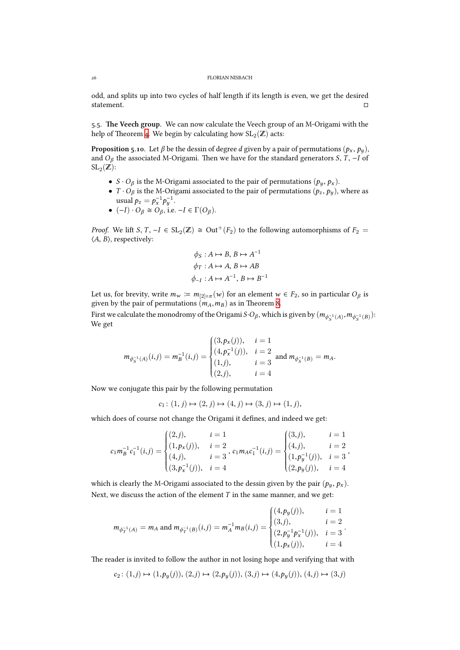odd, and splits up into two cycles of half length if its length is even, we get the desired statement. □

5.5. The Veech group. We can now calculate the Veech group of an M-Origami with the help of Theorem 4. We begin by calculating how  $\operatorname{SL}_2(\mathbb{Z})$  acts:

**Proposition 5.10.** Let  $\beta$  be the dessin of degree *d* given by a pair of permutations  $(p_x, p_y)$ , and  $O_\beta$  the associated M-Origami. Then we have for the standard generators *S*, *T*,  $-I$  of  $\mathrm{SL}_2(\mathbb{Z})$ :

- <span id="page-25-0"></span>• *S* · *O<sub>β</sub>* is the M-Origami associated to the pair of permutations  $(p_y, p_x)$ .
- *T* ·  $O_\beta$  is the M-Origami associated to the pair of permutations  $(p_z, p_y)$ , where as usual  $p_z = p_x^{-1} p_y^{-1}$ .
- $\bullet$   $(-I) \cdot O_\beta \cong O_\beta$ , i.e. −*I* ∈  $\Gamma(O_\beta)$ .

*Proof.* We lift *S*, *T*,  $-I \in SL_2(\mathbb{Z}) \cong Out^+(F_2)$  to the following automorphisms of  $F_2 =$ ⟨*A*, *B*⟩, respectively:

$$
\phi_S: A \mapsto B, B \mapsto A^{-1}
$$
  

$$
\phi_T: A \mapsto A, B \mapsto AB
$$
  

$$
\phi_{-I}: A \mapsto A^{-1}, B \mapsto B^{-1}
$$

Let us, for brevity, write  $m_w := m_{[2]\circ \pi}(w)$  for an element  $w \in F_2$ , so in particular  $O_\beta$  is given by the pair of permutations  $(m_A, m_B)$  as in Theorem 8.

First we calculate the monodromy of the Origami *S*·*O<sub>β</sub>*, which is given by  $(m_{\phi_S^{-1}(A)}, m_{\phi_S^{-1}(B)})$ : We get

$$
m_{\phi_{S}^{-1}(A)}(i,j) = m_{B}^{-1}(i,j) = \begin{cases} (3, p_{x}(j)), & i = 1\\ (4, p_{x}^{-1}(j)), & i = 2\\ (1,j), & i = 3\\ (2,j), & i = 4 \end{cases}
$$
 and  $m_{\phi_{S}^{-1}(B)} = m_{A}$ .

Now we conjugate this pair by the following permutation

$$
c_1\colon (1,j)\mapsto (2,j)\mapsto (4,j)\mapsto (3,j)\mapsto (1,j),
$$

which does of course not change the Origami it defines, and indeed we get:

$$
c_1 m_B^{-1} c_1^{-1}(i,j) = \begin{cases} (2,j), & i = 1 \\ (1,p_x(j)), & i = 2 \\ (4,j), & i = 3 \end{cases}, c_1 m_A c_1^{-1}(i,j) = \begin{cases} (3,j), & i = 1 \\ (4,j), & i = 2 \\ (1,p_y^{-1}(j)), & i = 3 \\ (2,p_y(j)), & i = 4 \end{cases},
$$

which is clearly the M-Origami associated to the dessin given by the pair  $(p_y, p_x)$ . Next, we discuss the action of the element *T* in the same manner, and we get:

$$
m_{\phi_T^{-1}(A)} = m_A \text{ and } m_{\phi_T^{-1}(B)}(i,j) = m_A^{-1} m_B(i,j) = \begin{cases} (4, p_y(j)), & i = 1\\ (3,j), & i = 2\\ (2, p_y^{-1} p_x^{-1}(j)), & i = 3\\ (1, p_x(j)), & i = 4 \end{cases}.
$$

The reader is invited to follow the author in not losing hope and verifying that with

$$
c_2\colon (1,j)\mapsto (1,p_y(j)),\,(2,j)\mapsto (2,p_y(j)),\,(3,j)\mapsto (4,p_y(j)),\,(4,j)\mapsto (3,j)
$$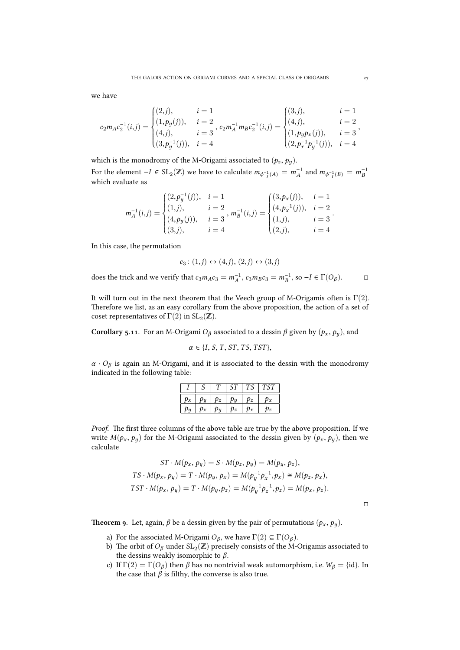we have

$$
c_2 m_A c_2^{-1}(i,j) = \begin{cases} (2,j), & i = 1 \\ (1, p_y(j)), & i = 2 \\ (4,j), & i = 3 \end{cases}, c_2 m_A^{-1} m_B c_2^{-1}(i,j) = \begin{cases} (3,j), & i = 1 \\ (4,j), & i = 2 \\ (1, p_y p_x(j)), & i = 3 \\ (2, p_x^{-1} p_y^{-1}(j)), & i = 4 \end{cases}
$$

which is the monodromy of the M-Origami associated to  $(p_z, p_y)$ .

For the element  $-I \in SL_2(\mathbb{Z})$  we have to calculate  $m_{\phi_{-I}^{-1}(A)} = m_A^{-1}$  and  $m_{\phi_{-I}^{-1}(B)} = m_B^{-1}$ which evaluate as

$$
m_A^{-1}(i,j) = \begin{cases} (2, p_y^{-1}(j)), & i = 1 \\ (1,j), & i = 2 \\ (4, p_y(j)), & i = 3 \\ (3,j), & i = 4 \end{cases}, m_B^{-1}(i,j) = \begin{cases} (3, p_x(j)), & i = 1 \\ (4, p_x^{-1}(j)), & i = 2 \\ (1,j), & i = 3 \\ (2,j), & i = 4 \end{cases}.
$$

In this case, the permutation

$$
c_3\colon (1,j)\leftrightarrow (4,j),\, (2,j)\leftrightarrow (3,j)
$$

does the trick and we verify that  $c_3m_Ac_3 = m_A^{-1}$ ,  $c_3m_Bc_3 = m_B^{-1}$ , so  $-I \in \Gamma(O_\beta)$ . □

It will turn out in the next theorem that the Veech group of M-Origamis often is  $\Gamma(2)$ . Therefore we list, as an easy corollary from the above proposition, the action of a set of coset representatives of  $\Gamma(2)$  in  $\operatorname{SL}_2(\mathbb{Z}).$ 

<span id="page-26-0"></span>**Corollary 5.11.** For an M-Origami  $O_\beta$  associated to a dessin  $\beta$  given by  $(p_x, p_y)$ , and

 $\alpha \in \{I, S, T, ST, TS, TST\}$ 

*α* · *O<sup>β</sup>* is again an M-Origami, and it is associated to the dessin with the monodromy indicated in the following table:

|       |       |       | $ST^{\perp}$  |       | $TS$ $TST$ |
|-------|-------|-------|---------------|-------|------------|
| $p_x$ | $p_y$ |       | $p_z\mid p_y$ | $p_z$ |            |
| $p_y$ | $p_x$ | $p_y$ | $ p_z $       | $p_x$ |            |

*Proof.* The first three columns of the above table are true by the above proposition. If we write  $M(p_x, p_y)$  for the M-Origami associated to the dessin given by  $(p_x, p_y)$ , then we calculate

$$
ST \cdot M(p_x, p_y) = S \cdot M(p_z, p_y) = M(p_y, p_z),
$$
  
\n
$$
TS \cdot M(p_x, p_y) = T \cdot M(p_y, p_x) = M(p_y^{-1}p_x^{-1}, p_x) \approx M(p_z, p_x),
$$
  
\n
$$
TST \cdot M(p_x, p_y) = T \cdot M(p_y, p_z) = M(p_y^{-1}p_z^{-1}, p_z) = M(p_x, p_z).
$$

□

<span id="page-26-1"></span>**Theorem 9.** Let, again,  $\beta$  be a dessin given by the pair of permutations  $(p_x, p_y)$ .

- a) For the associated M-Origami  $O_\beta$ , we have  $\Gamma(2) \subseteq \Gamma(O_\beta)$ .
- b) The orbit of  $O_\beta$  under  $\text{SL}_2(\mathbb{Z})$  precisely consists of the M-Origamis associated to the dessins weakly isomorphic to *β*.
- c) If  $\Gamma(2) = \Gamma(O_\beta)$  then  $\beta$  has no nontrivial weak automorphism, i.e.  $W_\beta = \{id\}$ . In the case that  $\beta$  is filthy, the converse is also true.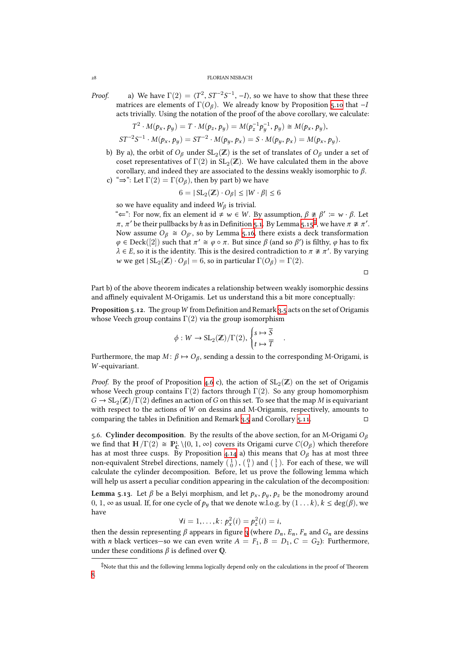#### FLORIAN NISBACH

*Proof.* a) We have  $\Gamma(2) = \langle T^2, ST^{-2}S^{-1}, -I \rangle$ , so we have to show that these three matrices are elements of  $\Gamma(O_\beta)$ . We already know by Proposition 5.10 that  $-I$ acts trivially. Using the notation of the proof of the above corollary, we calculate:

$$
T^2 \cdot M(p_x, p_y) = T \cdot M(p_z, p_y) = M(p_z^{-1}p_y^{-1}, p_y) \cong M(p_x, p_y),
$$
  

$$
ST^{-2}S^{-1} \cdot M(p_x, p_y) = ST^{-2} \cdot M(p_y, p_x) = S \cdot M(p_y, p_x) = M(p_x, p_y).
$$

b) By a), the orbit of  $O_\beta$  under  $\text{SL}_2(\mathbb{Z})$  is the set of translates of  $O_\beta$  under a set of coset representatives of  $\Gamma(2)$  in  $\operatorname{SL}_2(\mathbb{Z}).$  We have calculated them in the above corollary, and indeed they are associated to the dessins weakly isomorphic to *β*. c) " $\Rightarrow$ ": Let  $\Gamma(2) = \Gamma(O_\beta)$ , then by part b) we have

$$
6 = | SL_2(\mathbb{Z}) \cdot O_\beta | \le |W \cdot \beta| \le 6
$$

so we have equality and indeed  $W_\beta$  is trivial.

"<sup> $\Leftarrow$ ": For now, fix an element id ≠ *w* ∈ *W*. By assumption,  $β \not\cong β' := w \cdot β$ . Let</sup>  $\pi$ ,  $\pi'$  be their pullbacks by *h* as in Definition 5.1. By Lemma 5.15<sup>‡</sup>, we have  $\pi \not\cong \pi'$ . Now assume  $O_\beta \cong O_{\beta'}$ , so by Lemma 5.16, there exists a deck transformation  $\varphi \in \text{Deck}([2])$  such that  $\pi' \cong \varphi \circ \pi$ . But since  $\beta$  (and so  $\beta'$ ) is filthy,  $\varphi$  has to fix  $\lambda \in E$ , so it is the identity. This is the desired contradiction to  $\pi \not\cong \pi'$ . By varying *w* we get  $|SL_2(\mathbb{Z}) \cdot O_\beta| = 6$ , so in particular  $\Gamma(O_\beta) = \Gamma(2)$ [.](#page-30-0)

□

Part b) of the above theorem indicates a relationship between weakly isomorphic dessins and affinely equivalent M-Origamis. Let us understand this a bit more conceptually:

Proposition 5.12. The group W from Definition and Remark 3.5 acts on the set of Origamis whose Veech group contains  $\Gamma(2)$  via the group isomorphism

$$
\phi: W \to SL_2(\mathbb{Z})/\Gamma(2), \begin{cases} s \mapsto \overline{S} \\ t \mapsto \overline{T} \end{cases}
$$

.

<span id="page-27-1"></span> $\Gamma$ urthermore, the map *M* : *β* ↔ *O<sub>β</sub>*, sending a dessin to the corresponding M-Origami, is *W* -equivariant.

*Proof.* By the proof of Proposition 4.6 c), the action of  $SL_2(\mathbb{Z})$  on the set of Origamis whose Veech group contains  $\Gamma(2)$  factors through  $\Gamma(2)$ . So any group homomorphism  $G \to SL_2(\mathbb{Z})/\Gamma(2)$  defines an action of *G* on this set. To see that the map *M* is equivariant with respect to the actions of *W* on dessins and M-Origamis, respectively, amounts to comparing the tables in Definition [and](#page-11-0) Remark  $3.5$  and Corollary  $5.11$ .

.. **Cylinder decomposition.** By the results of the above section, for an M-Origami *O<sup>β</sup>* we find that  $H/\Gamma(2) \cong \mathbb{P}^1_{\mathbb{C}} \setminus \{0, 1, \infty\}$  covers its Origami curve  $C(O_\beta)$  which therefore has at most three cusps. By Proposition  $4.14$  a) this means that  $O_\beta$  has at most three non-equivalent Strebel directions, namely  $(\begin{smallmatrix}1\\0\end{smallmatrix})$  ,  $(\begin{smallmatrix}0\\1\end{smallmatrix})$  and  $(\begin{smallmatrix}1\\1\end{smallmatrix})$ . Fo[r eac](#page-26-0)h of these, we will calculate the cylinder decomposition. Before, let us prove the following lemma which will help us assert a peculiar condition appearing in the calculation of the decomposition:

**Lemma 5.13.** Let  $\beta$  be a Belyi morphism, [and](#page-15-4) let  $p_x$ ,  $p_y$ ,  $p_z$  be the monodromy around 0, 1, ∞ as usual. If, for one cycle of *p<sup>y</sup>* that we denote w.l.o.g. by (1 . . . *k*), *k* ≤ deg(*β*), we have

$$
\forall i=1,\ldots,k: p_x^2(i)=p_z^2(i)=i,
$$

<span id="page-27-0"></span>then the dessin representing  $\beta$  appears in figure 3 (where  $D_n$ ,  $E_n$ ,  $F_n$  and  $G_n$  are dessins with *n* black vertices—so we can even write  $A = F_1, B = D_1, C = G_2$ ): Furthermore, under these conditions  $\beta$  is defined over Q.

 $\ddot{\ddot{\ }}$ Note that this and the following lemma logically depen[d o](#page-28-0)nly on the calculations in the proof of Theorem 8.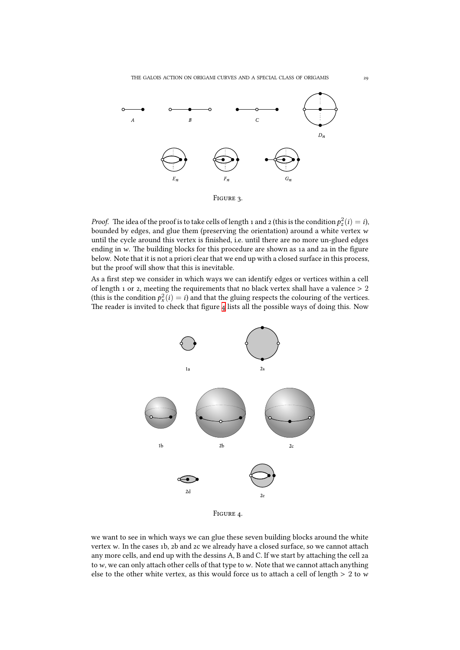

<span id="page-28-0"></span>FIGURE 3.

*Proof.* The idea of the proof is to take cells of length 1 and 2 (this is the condition  $p_z^2(i) = i$ ), bounded by edges, and glue them (preserving the orientation) around a white vertex *w* until the cycle around this vertex is finished, i.e. until there are no more un-glued edges ending in w. The building blocks for this procedure are shown as 1a and 2a in the figure below. Note that it is not a priori clear that we end up with a closed surface in this process, but the proof will show that this is inevitable.

As a first step we consider in which ways we can identify edges or vertices within a cell of length  $1$  or 2, meeting the requirements that no black vertex shall have a valence  $> 2$ (this is the condition  $p_x^2(i) = i$ ) and that the gluing respects the colouring of the vertices. The reader is invited to check that figure  $4$  lists all the possible ways of doing this. Now



FIGURE 4.

we want to see in which ways we can glue these seven building blocks around the white vertex *w*. In the cases 1b, 2b and 2c we already have a closed surface, so we cannot attach any more cells, and end up with the dessins A, B and C. If we start by attaching the cell 2a to  $w$ , we can only attach other cells of that type to  $w$ . Note that we cannot attach anything else to the other white vertex, as this would force us to attach a cell of length  $> 2$  to *w*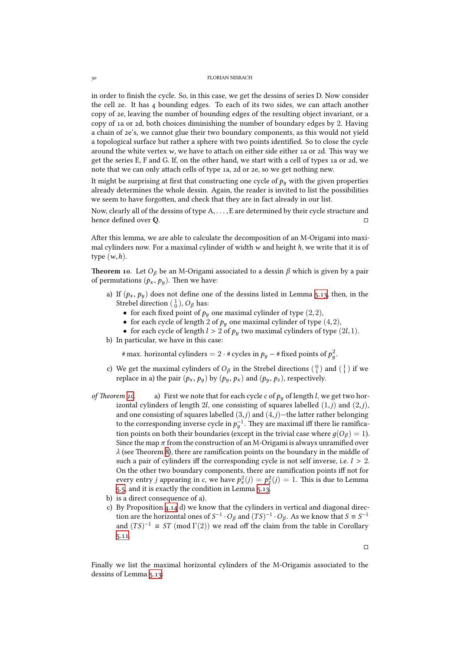in order to finish the cycle. So, in this case, we get the dessins of series D. Now consider the cell ze. It has  $4$  bounding edges. To each of its two sides, we can attach another copy of ze, leaving the number of bounding edges of the resulting object invariant, or a copy of 1a or 2d, both choices diminishing the number of boundary edges by 2. Having a chain of ze's, we cannot glue their two boundary components, as this would not yield a topological surface but rather a sphere with two points identified. So to close the cycle around the white vertex  $w$ , we have to attach on either side either 1a or 2d. This way we get the series  $E$ ,  $F$  and  $G$ . If, on the other hand, we start with a cell of types 1a or 2d, we note that we can only attach cells of type 1a, 2d or 2e, so we get nothing new.

It might be surprising at first that constructing one cycle of  $p_y$  with the given properties already determines the whole dessin. Again, the reader is invited to list the possibilities we seem to have forgotten, and check that they are in fact already in our list.

Now, clearly all of the dessins of type A,. . . ,E are determined by their cycle structure and hence defined over  $\mathbb Q$ .  $\hfill \Box$ 

After this lemma, we are able to calculate the decomposition of an M-Origami into maximal cylinders now. For a maximal cylinder of width *w* and height *h*, we write that it is of type (*w*,*h*).

**Theorem 10.** Let  $O_\beta$  be an M-Origami associated to a dessin  $\beta$  which is given by a pair of permutations  $(p_x, p_y)$ . Then we have:

- <span id="page-29-0"></span>a) If  $(p_x, p_y)$  does not define one of the dessins listed in Lemma 5.13, then, in the Strebel direction  $(\frac{1}{0})$ ,  $O_\beta$  has:
	- for each fixed point of  $p_y$  one maximal cylinder of type  $(2,2)$ ,
	- for each cycle of length 2 of  $p_y$  one maximal cylinder of type  $(4,2)$ ,
	- for each cycle of length  $l > 2$  of  $p_y$  two maximal cylinders [of ty](#page-27-0)pe (2*l*, 1).
- b) In particular, we have in this case:

# max. horizontal cylinders  $= 2 \cdot$  # cycles in  $p_y$  – # fixed points of  $p_y^2$ .

- c) We get the maximal cylinders of  $O_\beta$  in the Strebel directions  $({0\atop 1})$  and  $({1\atop 1})$  if we replace in a) the pair  $(p_x, p_y)$  by  $(p_y, p_x)$  and  $(p_y, p_z)$ , respectively.
- *of Theorem 10.* a) First we note that for each cycle  $c$  of  $p_y$  of length *l*, we get two horizontal cylinders of length 2*l*, one consisting of squares labelled (1,*j*) and (2,*j*), and one consisting of squares labelled  $(3,j)$  and  $(4,j)$ —the latter rather belonging to the corresponding inverse cycle in  $p_y^{-1}$ . They are maximal iff there lie ramificatio[n p](#page-29-0)oints on both their boundaries (except in the trivial case where  $g(O_\beta) = 1$ ). Since the map  $\pi$  from the construction of an M-Origami is always unramified over  $\lambda$  (see Theorem 8), there are ramification points on the boundary in the middle of such a pair of cylinders iff the corresponding cycle is not self inverse, i.e. *l* > 2. On the other two boundary components, there are ramification points iff not for every entry *j* appearing in *c*, we have  $p_x^2(j) = p_z^2(j) = 1$ . This is due to Lemma 5.5, and it is ex[ac](#page-20-0)tly the condition in Lemma 5.13.
	- b) is a direct consequence of a).
	- c) By Proposition  $4.14$  d) we know that the cylinders in vertical and diagonal direction are the horizontal ones of  $S^{-1} \cdot O_\beta$  and  $(TS)^{-1} \cdot O_\beta$ . As we know that  $S \equiv S^{-1}$ [and](#page-23-0)  $(TS)^{-1} \equiv ST \pmod{\Gamma(2)}$  we read off t[he cla](#page-27-0)im from the table in Corollary  $5.11.$

 $\Box$ 

Finally we list the maximal horizontal cylinders of the M-Origamis associated to the dessins [of Le](#page-26-0)mma 5.13: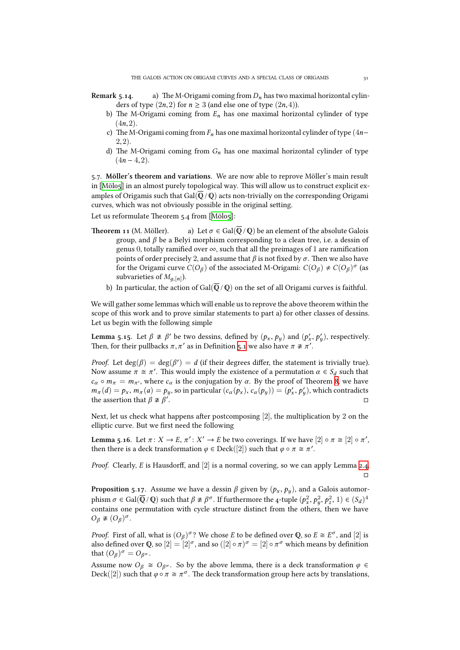- **Remark 5.14.** a) The M-Origami coming from  $D_n$  has two maximal horizontal cylinders of type  $(2n,2)$  for  $n \geq 3$  (and else one of type  $(2n,4)$ ).
	- b) The M-Origami coming from  $E_n$  has one maximal horizontal cylinder of type  $(4n, 2)$ .
	- c) The M-Origami coming from  $F_n$  has one maximal horizontal cylinder of type (4*n*− 2,2).
	- d) The M-Origami coming from  $G_n$  has one maximal horizontal cylinder of type  $(4n - 4, 2)$ .

.. **Möller's theorem and variations.** We are now able to reprove Möller's main result in [Mölo5] in an almost purely topological way. This will allow us to construct explicit examples of Origamis such that Gal( $\overline{Q}/Q$ ) acts non-trivially on the corresponding Origami curves, which was not obviously possible in the original setting.

Let us reformulate Theorem 5.4 from [Mölo5]:

- **Th[eorem](#page-37-0) 11** (M. Möller). a) Let  $\sigma \in \text{Gal}(\overline{\mathbb{Q}}/\mathbb{Q})$  be an element of the absolute Galois group, and *β* be a Belyi morphism corresponding to a clean tree, i.e. a dessin of genus 0, totally ramified over  $\infty$ , such that all the preimages of 1 are ramification points of order precisely 2, an[d assum](#page-37-0)e that  $\beta$  is not fixed by  $\sigma$ . Then we also have for the Origami curve  $C(O_\beta)$  of the associated M-Origami:  $C(O_\beta) \neq C(O_\beta)^\sigma$  (as subvarieties of  $M_{g,[n]}$ ).
	- b) In particular, the action of Gal( $\overline{Q}/Q$ ) on the set of all Origami curves is faithful.

We will gather some lemmas which will enable us to reprove the above theorem within the scope of this work and to prove similar statements to part a) for other classes of dessins. Let us begin with the following simple

**Lemma 5.15.** Let  $\beta \not\cong \beta'$  be two dessins, defined by  $(p_x, p_y)$  and  $(p'_x, p'_y)$ , respectively. Then, for their pullbacks  $\pi, \pi'$  as in Definition 5.1 we also have  $\pi \not\cong \pi'$ .

<span id="page-30-0"></span>*Proof.* Let  $deg(\beta) = deg(\beta') = d$  (if their degrees differ, the statement is trivially true). Now assume  $\pi \cong \pi'$ . This would imply the existence of a permutation  $\alpha \in S_d$  such that  $c_{\alpha} \circ m_{\pi} = m_{\pi'}$ , where  $c_{\alpha}$  is the conjugation by  $\alpha$ . By the proof of Theorem 8, we have  $m_{\pi}(d) = p_x$ ,  $m_{\pi}(a) = p_y$ , so in particular  $(c_{\alpha}(p_x), c_{\alpha}(p_y)) = (p'_x, p'_y)$ , which contradicts the assertion that  $\beta \not\cong \beta'$ . □

Next, let us check what happens after postcomposing  $[2]$ , the multiplication [by](#page-20-0) 2 on the elliptic curve. But we first need the following

**Lemma 5.16.** Let  $\pi: X \to E$ ,  $\pi': X' \to E$  be two coverings. If we have  $[2] \circ \pi \cong [2] \circ \pi'$ , then there is a deck transformation  $\varphi \in \mathrm{Deck}([2])$  such that  $\varphi \circ \pi \cong \pi'.$ 

*Proof.* Clearly, *E* is Hausdorff, and [2] is a normal covering, so we can apply Lemma 2.4. □

**Proposition 5.17.** Assume we have a dessin  $\beta$  given by  $(p_x, p_y)$ , and a Galois automor $p$  phism  $\sigma \in \text{Gal}(\overline{\mathbb{Q}}\setminus\mathbb{Q})$  such that  $\beta \not\cong \beta^{\sigma}$ . If furthermore the 4-tuple  $(p_x^2, p_y^2, p_z^2, 1) \in (S_d)^4$ contains one permutation with cycle structure distinct from the others, then we h[ave](#page-3-1)  $O_\beta \ncong (O_\beta)^\sigma$ .

<span id="page-30-1"></span>*Proof.* First of all, what is  $(O_\beta)^\sigma$ ? We chose *E* to be defined over **Q**, so  $E \cong E^\sigma$ , and  $[2]$  is also defined over Q, so  $[2] = [2]^\sigma$ , and so  $([2] \circ \pi)^\sigma = [2] \circ \pi^\sigma$  which means by definition that  $(O_\beta)^\sigma = O_{\beta^\sigma}$ .

Assume now  $O_\beta \cong O_{\beta^\sigma}$ . So by the above lemma, there is a deck transformation  $\varphi \in$ Deck $([2])$  such that  $\varphi \circ \pi \cong \pi^{\sigma}$ . The deck transformation group here acts by translations,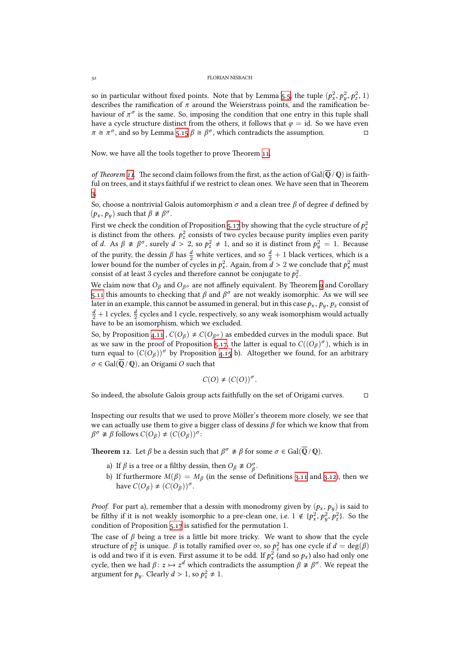so in particular without fixed points. Note that by Lemma 5.5, the tuple  $(p_x^2, p_y^2, p_z^2, 1)$ describes the ramification of *π* around the Weierstrass points, and the ramification behaviour of  $\pi^{\sigma}$  is the same. So, imposing the condition that one entry in this tuple shall have a cycle structure distinct from the others, it follows that  $\varphi = id$ . So we have even  $\pi \cong \pi^{\sigma}$ , and so by Lemma 5.15  $\beta \cong \beta^{\sigma}$ , which contradicts t[he as](#page-23-0)sumption. □

Now, we have all the tools together to prove Theorem 11.

*of Theorem* 11. The second [claim](#page-30-0) follows from the first, as the action of Gal( $\overline{Q}$  /  $\overline{Q}$ ) is faithful on trees, and it stays faithful if we restrict to clean ones. We have seen that in Theorem .

So, choose a nontrivial Galois automorphism *σ* and a clean tree *β* of degree *d* defined by  $(p_x, p_y)$  such that  $\beta \not\cong \beta^{\sigma}$ .

First we check the condition of Proposition 5.17 by showing that the cycle structure of  $p_z^2$ [is](#page-9-0) distinct from the others.  $p_z^2$  consists of two cycles because purity implies even parity of *d*. As  $\beta \ncong \beta^{\sigma}$ , surely  $d > 2$ , so  $p_z^2 \neq 1$ , and so it is distinct from  $p_y^2 = 1$ . Because of the purity, the dessin  $\beta$  has  $\frac{d}{2}$  white vertices, and so  $\frac{d}{2} + 1$  black vertices, which is a lower bound for the number of cycles in  $p_x^2$ [. Aga](#page-30-1)in, from  $d > 2$  we conclude that  $p_x^2$  must consist of at least 3 cycles and therefore cannot be conjugate to  $p_z^2$ .

We claim now that  $O_\beta$  and  $O_{\beta^\sigma}$  are not affinely equivalent. By Theorem 9 and Corollary 5.11 this amounts to checking that  $\beta$  and  $\beta^{\sigma}$  are not weakly isomorphic. As we will see later in an example, this cannot be assumed in general, but in this case  $p_x$  ,  $p_y$  ,  $p_z$  consist of  $\frac{d}{2}+1$  cycles,  $\frac{d}{2}$  cycles and  $1$  cycle, respectively, so any weak isomorphism would actually have to be an isomorphism, which we excluded.

[So, b](#page-26-0)y Proposition 4.11 ,  $C(O_\beta) \neq C(O_{\beta\sigma})$  as embedded curves in the moduli space. But as we saw in the proof of Proposition 5.17, the latter is equal to  $C((O_\beta)^\sigma)$ , which is in turn equal to  $(C(O_\beta))^{\sigma}$  by Proposition 4.15 b). Altogether we found, for an arbitrary  $\sigma \in \text{Gal}(\overline{\mathbb{Q}} \setminus \mathbb{Q})$ , an Origami *O* such that

$$
C(O) \neq (C(O))^{\sigma}.
$$

So indeed, the absolute Galois group act[s fait](#page-15-3)hfully on the set of Origami curves. □

Inspecting our results that we used to prove Möller's theorem more closely, we see that we can actually use them to give a bigger class of dessins *β* for which we know that from  $\beta^{\sigma} \not\equiv \beta$  follows  $C(O_{\beta}) \neq (C(O_{\beta}))^{\sigma}$ :

**Theorem 12**. Let  $\beta$  be a dessin such that  $\beta^{\sigma} \not\cong \beta$  for some  $\sigma \in \operatorname{Gal}(\overline{\mathbb{Q}}\,/\,\mathbb{Q}).$ 

- a) If  $\beta$  is a tree or a filthy dessin, then  $O_{\beta} \not\cong O_{\beta}^{\sigma}$ .
- b) If furthermore  $M(\beta) = M_\beta$  (in the sense of Definitions 3.11 and 3.12), then we have  $C(O_\beta) \neq (C(O_\beta))^{\sigma}$ .

*Proof.* For part a), remember that a dessin with monodromy given by  $(p_x, p_y)$  is said to be filthy if it is not weakly isomor[p](#page-8-0)hic to a pre-clean one, i.e.  $1 \notin \{p_x^2, p_y^2, p_z^2\}$ . So the condition of Proposition  $5.17$  is satisfied for the permutation 1.

The case of  $\beta$  being a tree is a little bit more tricky. We want to show that the cycle  $z$  structure of  $p_z^2$  is unique. *β* is totally ramified over ∞, so  $p_z^2$  has one cycle if  $d = \deg(\beta)$ is odd and two if it is even. First assume it to be odd. If  $p_x^2$  (and so  $p_x$ ) also had only one cycle, then we had  $\beta$ :  $z \mapsto z^d$  which contradicts the assumption  $\beta \ncong \beta^\sigma$ . We repeat the argument for  $p_y$ . Clearly  $d > 1$ , so  $p_z^2 \neq 1$ .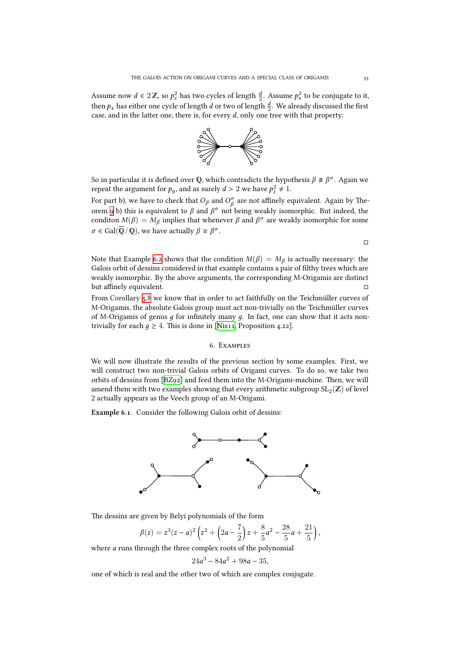Assume now  $d \in 2\mathbb{Z}$ , so  $p_z^2$  has two cycles of length  $\frac{d}{2}$ . Assume  $p_x^2$  to be conjugate to it, then  $p_x$  has either one cycle of length  $d$  or two of length  $\frac{d}{2}$ . We already discussed the first case, and in the latter one, there is, for every  $d$ , only one tree with that property:



So in particular it is defined over Q, which contradicts the hypothesis  $\beta \not\cong \beta^{\sigma}$ . Again we repeat the argument for  $p_y$ , and as surely  $d > 2$  we have  $p_z^2 \neq 1$ .

For part b), we have to check that  $O_\beta$  and  $O_\beta^\sigma$  are not affinely equivalent. Again by Theorem b) this is equivalent to *β* and *β <sup>σ</sup>* not being weakly isomorphic. But indeed, the conditon  $M(\beta) = M_\beta$  implies that whenever  $\beta$  and  $\beta^\sigma$  are weakly isomorphic for some  $\sigma \in \text{Gal}(\overline{\mathbb{Q}} \setminus \mathbb{Q})$ , we have actually  $\beta \cong \beta^{\sigma}$ .

Note that Example 6.2 shows that the condition  $M(\beta) = M_\beta$  is actually necessary: the Galois orbit of dessins considered in that example contains a pair of filthy trees which are weakly isomorphic. By the above arguments, the corresponding M-Origamis are distinct but affinely equivalent. □

From Corollary 5.8 [we](#page-34-0) know that in order to act faithfully on the Teichmüller curves of M-Origamis, the absolute Galois group must act non-trivially on the Teichmüller curves of M-Origamis of genus *д* for infinitely many *д*. In fact, one can show that it acts nontrivially for each  $q \geq 4$ . This is done in [Nis11, Proposition 4.22].

### 6. EXAMPLES

We will now illustrate the results of th[e prev](#page-37-2)ious section by some examples. First, we will construct two non-trivial Galois orbits of Origami curves. To do so, we take two orbits of dessins from [BZ92] and feed them into the M-Origami-machine. Then, we will amend them with two examples showing that every arithmetic subgroup  $\operatorname{SL}_2(\mathbb{Z})$  of level 2 actually appears as the Veech group of an M-Origami.

**Example 6.1.** Conside[r the f](#page-36-5)ollowing Galois orbit of dessins:



The dessins are given by Belyi polynomials of the form

$$
\beta(z) = z^3(z-a)^2\left(z^2 + \left(2a - \frac{7}{2}\right)z + \frac{8}{5}a^2 - \frac{28}{5}a + \frac{21}{5}\right),\,
$$

where *a* runs through the three complex roots of the polynomial

$$
24a^3 - 84a^2 + 98a - 35,
$$

one of which is real and the other two of which are complex conjugate.

 $\Box$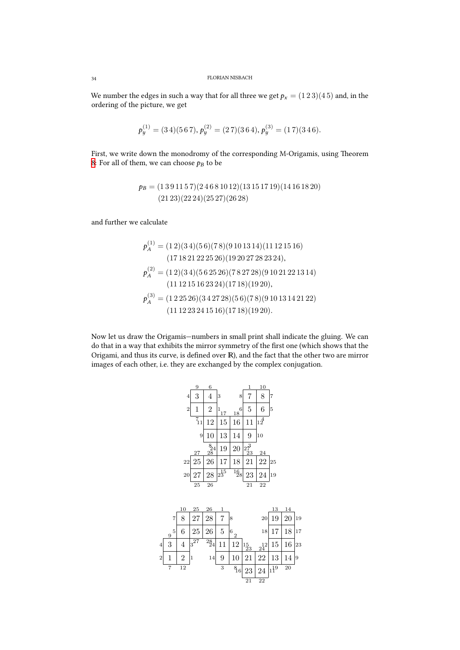We number the edges in such a way that for all three we get  $p_x = (1\,2\,3)(4\,5)$  and, in the ordering of the picture, we get

$$
p_y^{(1)} = (3\,4)(5\,6\,7), p_y^{(2)} = (2\,7)(3\,6\,4), p_y^{(3)} = (1\,7)(3\,4\,6).
$$

First, we write down the monodromy of the corresponding M-Origamis, using Theorem 8: For all of them, we can choose  $p_B$  to be

$$
p_B = (1\,3\,9\,11\,5\,7)(2\,4\,6\,8\,10\,12)(13\,15\,17\,19)(14\,16\,18\,20)
$$

$$
(21\,23)(22\,24)(25\,27)(26\,28)
$$

and further we calculate

$$
p_A^{(1)} = (1\ 2)(3\ 4)(5\ 6)(7\ 8)(9\ 10\ 13\ 14)(11\ 12\ 15\ 16)
$$
  
\n
$$
(17\ 18\ 21\ 22\ 25\ 26)(19\ 20\ 27\ 28\ 23\ 24),
$$
  
\n
$$
p_A^{(2)} = (1\ 2)(3\ 4)(5\ 6\ 25\ 26)(7\ 8\ 27\ 28)(9\ 10\ 21\ 22\ 13\ 14)
$$
  
\n
$$
(11\ 12\ 15\ 16\ 23\ 24)(17\ 18)(19\ 20),
$$
  
\n
$$
p_A^{(3)} = (1\ 2\ 25\ 26)(3\ 4\ 27\ 28)(5\ 6)(7\ 8)(9\ 10\ 13\ 14\ 21\ 22)
$$
  
\n
$$
(11\ 12\ 23\ 24\ 15\ 16)(17\ 18)(19\ 20).
$$

Now let us draw the Origamis—numbers in small print shall indicate the gluing. We can do that in a way that exhibits the mirror symmetry of the first one (which shows that the Origami, and thus its curve, is defined over  $\mathbb{R}$ ), and the fact that the other two are mirror images of each other, i.e. they are exchanged by the complex conjugation.

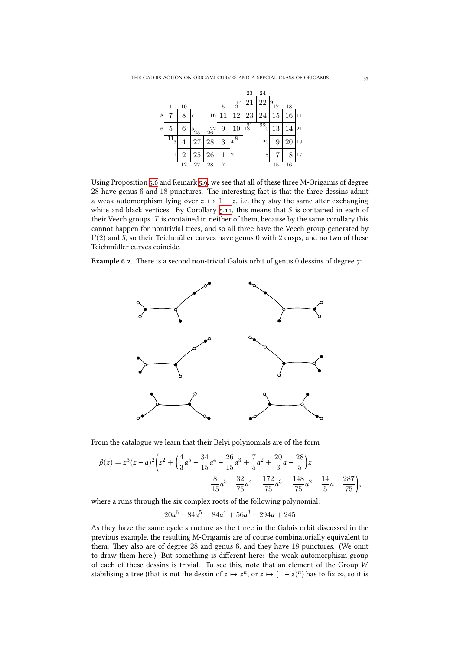

Using Proposition 5.6 and Remark 5.9, we see that all of these three M-Origamis of degree 28 have genus 6 and 18 punctures. The interesting fact is that the three dessins admit a weak automorphism lying over  $z \mapsto 1-z$ , i.e. they stay the same after exchanging white and black vertices. By Corollary  $5.11$ , this means that  $S$  is contained in each of their Veech groups. *[T](#page-23-1)* is containe[d in](#page-24-0) neither of them, because by the same corollary this cannot happen for nontrivial trees, and so all three have the Veech group generated by  $\Gamma(2)$  and *S*, so their Teichmüller curves have genus 0 with 2 cusps, and no two of these Teichmüller curves coincide.

<span id="page-34-0"></span>**Example 6.2.** There is a second non-trivial Galois orbit of genus 0 dessins of degree 7:



From the catalogue we learn that their Belyi polynomials are of the form

$$
\beta(z) = z^3(z-a)^2 \left(z^2 + \left(\frac{4}{3}a^5 - \frac{34}{15}a^4 - \frac{26}{15}a^3 + \frac{7}{5}a^2 + \frac{20}{3}a - \frac{28}{5}\right)z - \frac{8}{15}a^5 - \frac{32}{75}a^4 + \frac{172}{75}a^3 + \frac{148}{75}a^2 - \frac{14}{5}a - \frac{287}{75}\right),
$$

where a runs through the six complex roots of the following polynomial:

$$
20a^6 - 84a^5 + 84a^4 + 56a^3 - 294a + 245
$$

As they have the same cycle structure as the three in the Galois orbit discussed in the previous example, the resulting M-Origamis are of course combinatorially equivalent to them: They also are of degree and genus  $6$ , and they have  $18$  punctures. (We omit to draw them here.) But something is different here: the weak automorphism group of each of these dessins is trivial. To see this, note that an element of the Group *W* stabilising a tree (that is not the dessin of  $z \mapsto z^n$ , or  $z \mapsto (1-z)^n$ ) has to fix  $\infty$ , so it is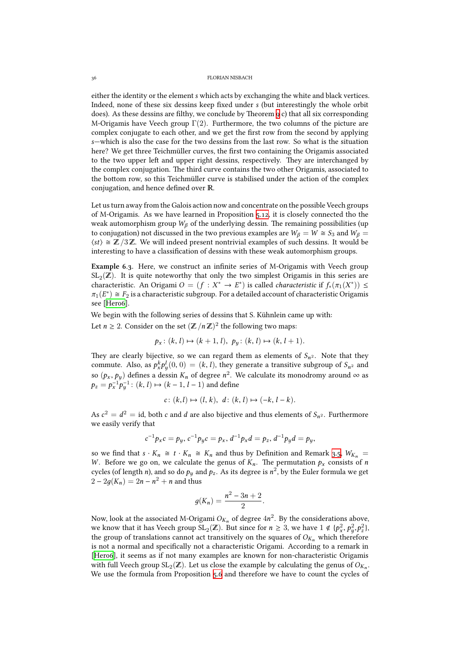either the identity or the element*s* which acts by exchanging the white and black vertices. Indeed, none of these six dessins keep fixed under *s* (but interestingly the whole orbit does). As these dessins are filthy, we conclude by Theorem  $9 c)$  that all six corresponding M-Origamis have Veech group  $\Gamma(2)$ . Furthermore, the two columns of the picture are complex conjugate to each other, and we get the first row from the second by applying *s*—which is also the case for the two dessins from the last row. So what is the situation here? We get three Teichmüller curves, the first two conta[in](#page-26-1)ing the Origamis associated to the two upper left and upper right dessins, respectively. They are interchanged by the complex conjugation. The third curve contains the two other Origamis, associated to the bottom row, so this Teichmüller curve is stabilised under the action of the complex conjugation, and hence defined over R.

Let us turn away from the Galois action now and concentrate on the possible Veech groups of M-Origamis. As we have learned in Proposition  $5.12$ , it is closely connected tho the weak automorphism group  $W_\beta$  of the underlying dessin. The remaining possibilities (up to conjugation) not discussed in the two previous examples are  $W_\beta = W \cong S_3$  and  $W_\beta =$  $\langle st \rangle \cong \mathbb{Z}/3\mathbb{Z}$ . We will indeed present nontrivial examples of such dessins. It would be interesting to have a classification of dessins with th[ese w](#page-27-1)eak automorphism groups.

**Example 6.3.** Here, we construct an infinite series of M-Origamis with Veech group  $\mathrm{SL}_2(\mathbb{Z}).$  It is quite noteworthy that only the two simplest Origamis in this series are characteristic. An Origami  $O = (f : X^* \to E^*)$  is called *characteristic* if  $f_*(\pi_1(X^*)) \le$  $\pi_1(E^*) \cong F_2$  is a characteristic subgroup. For a detailed account of characteristic Origamis see [Hero6].

We begin with the following series of dessins that S. Kühnlein came up with:

Let  $n \geq 2$ . Consider on the set  $(\mathbb{Z}/n\mathbb{Z})^2$  the following two maps:

$$
p_x \colon (k, l) \mapsto (k + 1, l), \ p_y \colon (k, l) \mapsto (k, l + 1).
$$

They are clearly bijective, so we can regard them as elements of  $S_{n^2}$ . Note that they commute. Also, as  $p_x^k p_y^l(0,0) = (k, l)$ , they generate a transitive subgroup of  $S_{n^2}$  and so  $(p_x, p_y)$  defines a dessin  $K_n$  of degree  $n^2$ . We calculate its monodromy around  $\infty$  as  $p_z = p_x^{-1} p_y^{-1}$ :  $(k, l) \mapsto (k - 1, l - 1)$  and define

$$
c: (k, l) \mapsto (l, k), d: (k, l) \mapsto (-k, l - k).
$$

As  $c^2 = d^2 =$  id, both *c* and *d* are also bijective and thus elements of  $S_{n^2}$ . Furthermore we easily verify that

$$
c^{-1}p_x c = p_y, c^{-1}p_y c = p_x, d^{-1}p_x d = p_z, d^{-1}p_y d = p_y,
$$

so we find that  $s \cdot K_n \cong t \cdot K_n \cong K_n$  and thus by Definition and Remark 3.5,  $W_{K_n} =$ *W*. Before we go on, we calculate the genus of  $K_n$ . The permutation  $p_x$  consists of *n* cycles (of length *n*), and so do  $p_y$  and  $p_z$ . As its degree is  $n^2$ , by the Euler formula we get  $2 - 2g(K_n) = 2n - n^2 + n$  and thus

$$
g(K_n)=\frac{n^2-3n+2}{2}.
$$

Now, look at the associated M-Origami  $O_{K_n}$  of degree  $4n^2$ . By the considerations above, we know that it has Veech group  $SL_2(\mathbb{Z})$ . But since for  $n \geq 3$ , we have  $1 \notin \{p_x^2, p_y^2, p_z^2\}$ , the group of translations cannot act transitively on the squares of  $O_{K_n}$  which therefore is not a normal and specifically not a characteristic Origami. According to a remark in [Hero6], it seems as if not many examples are known for non-characteristic Origamis with full Veech group  $SL_2(\mathbb{Z})$ . Let us close the example by calculating the genus of  $O_{K_n}$ . We use the formula from Proposition 5.6 and therefore we have to count the cycles of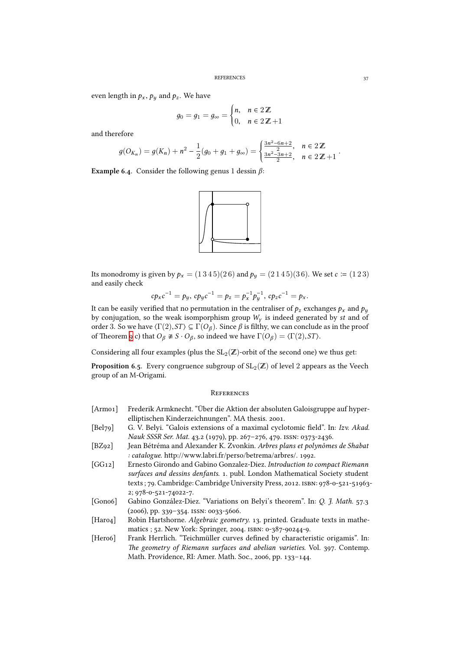even length in  $p_x$ ,  $p_y$  and  $p_z$ . We have

$$
g_0 = g_1 = g_\infty = \begin{cases} n, & n \in 2\mathbb{Z} \\ 0, & n \in 2\mathbb{Z} + 1 \end{cases}
$$

and therefore

$$
g(O_{K_n}) = g(K_n) + n^2 - \frac{1}{2}(g_0 + g_1 + g_\infty) = \begin{cases} \frac{3n^2 - 6n + 2}{2}, & n \in 2\mathbb{Z} \\ \frac{3n^2 - 3n + 2}{2}, & n \in 2\mathbb{Z} + 1 \end{cases}.
$$

**Example 6.4.** Consider the following genus 1 dessin  $\beta$ :



Its monodromy is given by  $p_x = (1345)(26)$  and  $p_y = (2145)(36)$ . We set  $c \coloneqq (123)$ and easily check

$$
cp_{x}c^{-1}=p_{y}, cp_{y}c^{-1}=p_{z}=p_{x}^{-1}p_{y}^{-1}, cp_{z}c^{-1}=p_{x}.
$$

It can be easily verified that no permutation in the centraliser of  $p_z$  exchanges  $p_x$  and  $p_y$ by conjugation, so the weak isomporphism group *W<sup>γ</sup>* is indeed generated by *st* and of order 3. So we have  $\langle \Gamma(2), ST \rangle \subseteq \Gamma(O_\beta)$ . Since  $\beta$  is filthy, we can conclude as in the proof of Theorem 9 c) that  $O_\beta \not\cong S \cdot O_\beta$ , so indeed we have  $\Gamma(O_\beta) = \langle \Gamma(2), ST \rangle$ .

Considering all four examples (plus the  $\mathrm{SL}_2(\mathbb{Z})$ -orbit of the second one) we thus get:

**Proposition 6.5.** Every congruence subgroup of  $\text{SL}_2(\mathbb{Z})$  of level  $2$  appears as the Veech group of an [M](#page-26-1)-Origami.

#### **REFERENCES**

- [Armo1] Frederik Armknecht. "Über die Aktion der absoluten Galoisgruppe auf hyperelliptischen Kinderzeichnungen". MA thesis. 2001.
- [Bel79] G. V. Belyi. "Galois extensions of a maximal cyclotomic field". In: *Izv. Akad. Nauk SSSR Ser. Mat.* 43.2 (1979), pp. 267-276, 479. ISSN: 0373-2436.
- <span id="page-36-2"></span>[BZ] Jean Bétréma and Alexander K. Zvonkin. *Arbres plans et polynômes de Shabat* : catalogue. http://www.labri.fr/perso/betrema/arbres/. 1992.
- <span id="page-36-5"></span><span id="page-36-0"></span>[GG] Ernesto Girondo and Gabino Gonzalez-Diez. *Introduction to compact Riemann* surfaces and dessins denfants. 1. publ. London Mathematical Society student texts ; 79. Cambridge: Cambridge University Press, 2012. ISBN: 978-0-521-51963-2; 978-0-521-74022-7.
- <span id="page-36-1"></span>[Gono6] Gabino González-Diez. "Variations on Belyi's theorem". In: *Q. J. Math.* 57.3  $(2006)$ , pp. 339-354. ISSN: 0033-5606.
- [Haro4] Robin Hartshorne. *Algebraic geometry*. 13. printed. Graduate texts in mathematics ; 52. New York: Springer, 2004. ISBN: 0-387-90244-9.
- <span id="page-36-4"></span><span id="page-36-3"></span>[Hero6] Frank Herrlich. "Teichmüller curves defined by characteristic origamis". In: The geometry of Riemann surfaces and abelian varieties. Vol. 397. Contemp. Math. Providence, RI: Amer. Math. Soc., 2006, pp. 133-144.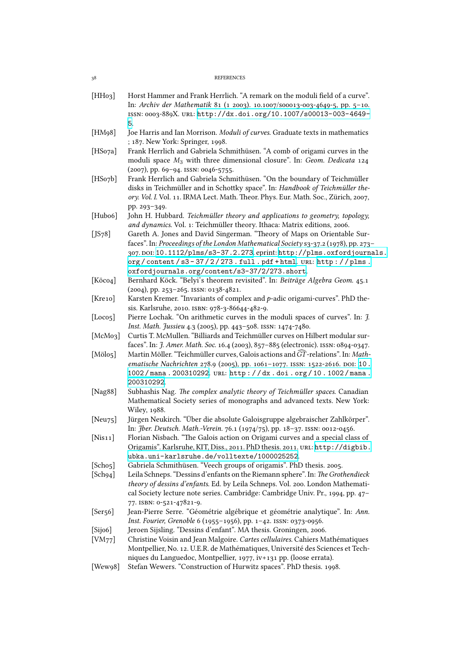<span id="page-37-16"></span><span id="page-37-15"></span><span id="page-37-14"></span><span id="page-37-13"></span><span id="page-37-12"></span><span id="page-37-11"></span><span id="page-37-10"></span><span id="page-37-9"></span><span id="page-37-8"></span><span id="page-37-7"></span><span id="page-37-6"></span><span id="page-37-5"></span><span id="page-37-4"></span><span id="page-37-3"></span><span id="page-37-2"></span><span id="page-37-1"></span><span id="page-37-0"></span>

| [HH <sub>03</sub> ]  | Horst Hammer and Frank Herrlich. "A remark on the moduli field of a curve".<br>In: Archiv der Mathematik 81 (1 2003). 10.1007/s00013-003-4649-5, pp. 5-10.<br>ISSN: 0003-889X. URL: http://dx.doi.org/10.1007/s00013-003-4649-                                                                                                                       |
|----------------------|------------------------------------------------------------------------------------------------------------------------------------------------------------------------------------------------------------------------------------------------------------------------------------------------------------------------------------------------------|
|                      | 5.                                                                                                                                                                                                                                                                                                                                                   |
| [ $HM98$ ]           | Joe Harris and Ian Morrison. Moduli of curves. Graduate texts in mathematics<br>; 187. New York: Springer, 1998.                                                                                                                                                                                                                                     |
| [HSo7a]              | Frank Herrlich and Gabriela Schmithüsen. "A comb of origami curves in the<br>moduli space $M_3$ with three dimensional closure". In: Geom. Dedicata 124                                                                                                                                                                                              |
| [HSo7b]              | (2007), pp. 69-94. ISSN: 0046-5755.<br>Frank Herrlich and Gabriela Schmithüsen. "On the boundary of Teichmüller<br>disks in Teichmüller and in Schottky space". In: Handbook of Teichmüller the-<br>ory. Vol. I. Vol. 11. IRMA Lect. Math. Theor. Phys. Eur. Math. Soc., Zürich, 2007,                                                               |
| [Hubo6]              | pp. 293-349.<br>John H. Hubbard. Teichmüller theory and applications to geometry, topology,                                                                                                                                                                                                                                                          |
|                      | and dynamics. Vol. 1: Teichmüller theory. Ithaca: Matrix editions, 2006.                                                                                                                                                                                                                                                                             |
| [JS78]               | Gareth A. Jones and David Singerman. "Theory of Maps on Orientable Sur-<br>faces". In: Proceedings of the London Mathematical Society s3-37.2 (1978), pp. 273-<br>307. DOI: 10.1112/plms/s3-37.2.273. eprint: http://plms.oxfordjournals.<br>org/content/s3-37/2/273.full.pdf+html.uRL:http://plms.<br>oxfordjournals.org/content/s3-37/2/273.short. |
| [Köco4]              | Bernhard Köck. "Belyi's theorem revisited". In: Beiträge Algebra Geom. 45.1<br>(2004), pp. 253-265. ISSN: 0138-4821.                                                                                                                                                                                                                                 |
| [Kre10]              | Karsten Kremer. "Invariants of complex and $p$ -adic origami-curves". PhD the-                                                                                                                                                                                                                                                                       |
|                      | sis. Karlsruhe, 2010. ISBN: 978-3-86644-482-9.                                                                                                                                                                                                                                                                                                       |
| [Loco <sub>5</sub> ] | Pierre Lochak. "On arithmetic curves in the moduli spaces of curves". In: J.                                                                                                                                                                                                                                                                         |
|                      | Inst. Math. Jussieu 4.3 (2005), pp. 443-508. ISSN: 1474-7480.                                                                                                                                                                                                                                                                                        |
| [McMo3]              | Curtis T. McMullen. "Billiards and Teichmüller curves on Hilbert modular sur-<br>faces". In: J. Amer. Math. Soc. 16.4 (2003), 857-885 (electronic). ISSN: 0894-0347.                                                                                                                                                                                 |
| [Mölo5]              | Martin Möller. "Teichmüller curves, Galois actions and $\widehat{GT}$ -relations". In: Math-<br>ematische Nachrichten 278.9 (2005), pp. 1061-1077. ISSN: 1522-2616. DOI: 10.<br>1002/mana. 200310292. URL: http://dx.doi.org/10.1002/mana.<br>200310292.                                                                                             |
| [Nag88]              | Subhashis Nag. The complex analytic theory of Teichmüller spaces. Canadian<br>Mathematical Society series of monographs and advanced texts. New York:<br>Wiley, 1988.                                                                                                                                                                                |
| [Neu75]              | Jürgen Neukirch. "Über die absolute Galoisgruppe algebraischer Zahlkörper".                                                                                                                                                                                                                                                                          |
|                      | In: Jber. Deutsch. Math.-Verein. 76.1 (1974/75), pp. 18-37. ISSN: 0012-0456.                                                                                                                                                                                                                                                                         |
| [Nis11]              | Florian Nisbach. "The Galois action on Origami curves and a special class of<br>Origamis". Karlsruhe, KIT, Diss., 2011. PhD thesis. 2011. URL: http://digbib.<br>ubka.uni-karlsruhe.de/volltexte/1000025252.                                                                                                                                         |
| [Scho5]              | Gabriela Schmithüsen. "Veech groups of origamis". PhD thesis. 2005.                                                                                                                                                                                                                                                                                  |
| [Sch94]              | Leila Schneps. "Dessins d'enfants on the Riemann sphere". In: The Grothendieck<br>theory of dessins d'enfants. Ed. by Leila Schneps. Vol. 200. London Mathemati-<br>cal Society lecture note series. Cambridge: Cambridge Univ. Pr., 1994, pp. 47-<br>77. ISBN: 0-521-47821-9.                                                                       |
| [Ser56]              | Jean-Pierre Serre. "Géométrie algébrique et géométrie analytique". In: Ann.                                                                                                                                                                                                                                                                          |
|                      | Inst. Fourier, Grenoble 6 (1955-1956), pp. 1-42. ISSN: 0373-0956.                                                                                                                                                                                                                                                                                    |
| [Sij 06]             | Jeroen Sijsling. "Dessins d'enfant". MA thesis. Groningen, 2006.                                                                                                                                                                                                                                                                                     |
| [VM77]               | Christine Voisin and Jean Malgoire. Cartes cellulaires. Cahiers Mathématiques<br>Montpellier, No. 12. U.E.R. de Mathématiques, Université des Sciences et Tech-                                                                                                                                                                                      |
| [Wew98]              | niques du Languedoc, Montpellier, 1977, iv+131 pp. (loose errata).<br>Stefan Wewers. "Construction of Hurwitz spaces". PhD thesis. 1998.                                                                                                                                                                                                             |
|                      |                                                                                                                                                                                                                                                                                                                                                      |

38 REFERENCES